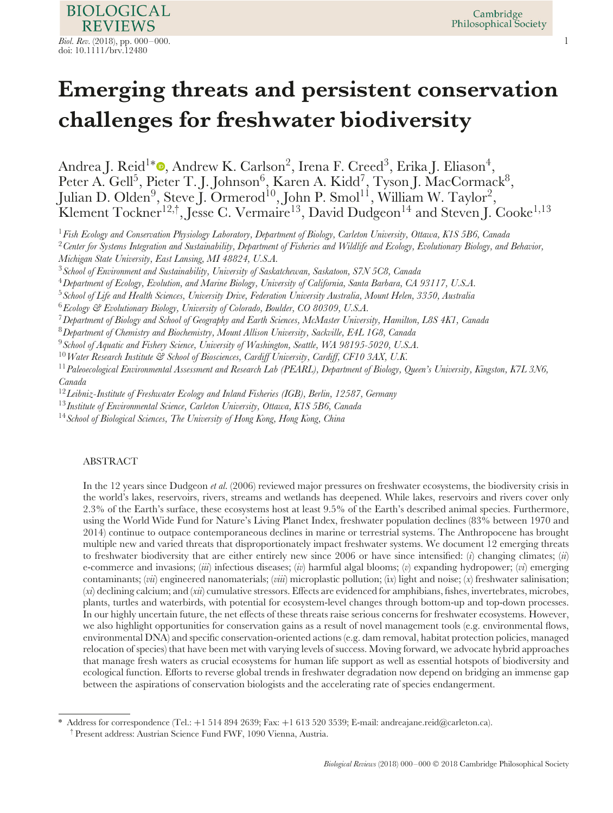**REVIEWS** *Biol. Rev.* (2018), pp. 000–000. 1 doi: 10.1111/brv.12480

**BIOLOGICAL** 

# **Emerging threats and persistent conservation challenges for freshwater biodiversity**

Andrea J. Reid<sup>1∗</sup> , Andrew K. Carlson<sup>2</sup>, Irena F. Creed<sup>3</sup>, Erika J. Eliason<sup>4</sup>, Peter A. Gell<sup>5</sup>, Pieter T. J. Johnson<sup>6</sup>, Karen A. Kidd<sup>7</sup>, Tyson J. MacCormack<sup>8</sup>, Julian D. Olden $^9$ , Steve J. Ormerod $^{10}$ , John P. Smol $^{11}$ , William W. Taylor $^2$ , Klement Tockner $^{12,\dagger},$  Jesse C. Vermaire $^{13},$  David Dudgeon $^{14}$  and Steven J. Cooke $^{1,13}$ 

<sup>1</sup>*Fish Ecology and Conservation Physiology Laboratory, Department of Biology, Carleton University, Ottawa, K1S 5B6, Canada*

<sup>2</sup>*Center for Systems Integration and Sustainability, Department of Fisheries and Wildlife and Ecology, Evolutionary Biology, and Behavior, Michigan State University, East Lansing, MI 48824, U.S.A.*

<sup>3</sup>*School of Environment and Sustainability, University of Saskatchewan, Saskatoon, S7N 5C8, Canada*

<sup>4</sup>*Department of Ecology, Evolution, and Marine Biology, University of California, Santa Barbara, CA 93117, U.S.A.*

<sup>5</sup>*School of Life and Health Sciences, University Drive, Federation University Australia, Mount Helen, 3350, Australia*

<sup>6</sup>*Ecology & Evolutionary Biology, University of Colorado, Boulder, CO 80309, U.S.A.*

<sup>7</sup>*Department of Biology and School of Geography and Earth Sciences, McMaster University, Hamilton, L8S 4K1, Canada*

<sup>8</sup>*Department of Chemistry and Biochemistry, Mount Allison University, Sackville, E4L 1G8, Canada*

<sup>9</sup>*School of Aquatic and Fishery Science, University of Washington, Seattle, WA 98195-5020, U.S.A.*

<sup>10</sup>*Water Research Institute & School of Biosciences, Cardiff University, Cardiff, CF10 3AX, U.K.*

<sup>11</sup>*Paleoecological Environmental Assessment and Research Lab (PEARL), Department of Biology, Queen's University, Kingston, K7L 3N6, Canada*

<sup>12</sup>*Leibniz-Institute of Freshwater Ecology and Inland Fisheries (IGB), Berlin, 12587, Germany*

<sup>13</sup>*Institute of Environmental Science, Carleton University, Ottawa, K1S 5B6, Canada*

<sup>14</sup>*School of Biological Sciences, The University of Hong Kong, Hong Kong, China*

## ABSTRACT

In the 12 years since Dudgeon *et al.* (2006) reviewed major pressures on freshwater ecosystems, the biodiversity crisis in the world's lakes, reservoirs, rivers, streams and wetlands has deepened. While lakes, reservoirs and rivers cover only 2.3% of the Earth's surface, these ecosystems host at least 9.5% of the Earth's described animal species. Furthermore, using the World Wide Fund for Nature's Living Planet Index, freshwater population declines (83% between 1970 and 2014) continue to outpace contemporaneous declines in marine or terrestrial systems. The Anthropocene has brought multiple new and varied threats that disproportionately impact freshwater systems. We document 12 emerging threats to freshwater biodiversity that are either entirely new since 2006 or have since intensified: (*i*) changing climates; (*ii*) e-commerce and invasions; (*iii*) infectious diseases; (*iv*) harmful algal blooms; (*v*) expanding hydropower; (*vi*) emerging contaminants; (*vii*) engineered nanomaterials; (*viii*) microplastic pollution; (i*x*) light and noise; (*x*) freshwater salinisation; (*xi*) declining calcium; and (*xii*) cumulative stressors. Effects are evidenced for amphibians, fishes, invertebrates, microbes, plants, turtles and waterbirds, with potential for ecosystem-level changes through bottom-up and top-down processes. In our highly uncertain future, the net effects of these threats raise serious concerns for freshwater ecosystems. However, we also highlight opportunities for conservation gains as a result of novel management tools (e.g. environmental flows, environmental DNA) and specific conservation-oriented actions (e.g. dam removal, habitat protection policies, managed relocation of species) that have been met with varying levels of success. Moving forward, we advocate hybrid approaches that manage fresh waters as crucial ecosystems for human life support as well as essential hotspots of biodiversity and ecological function. Efforts to reverse global trends in freshwater degradation now depend on bridging an immense gap between the aspirations of conservation biologists and the accelerating rate of species endangerment.

<sup>\*</sup> Address for correspondence (Tel.: +1 514 894 2639; Fax: +1 613 520 3539; E-mail: andreajane.reid@carleton.ca).

<sup>†</sup> Present address: Austrian Science Fund FWF, 1090 Vienna, Austria.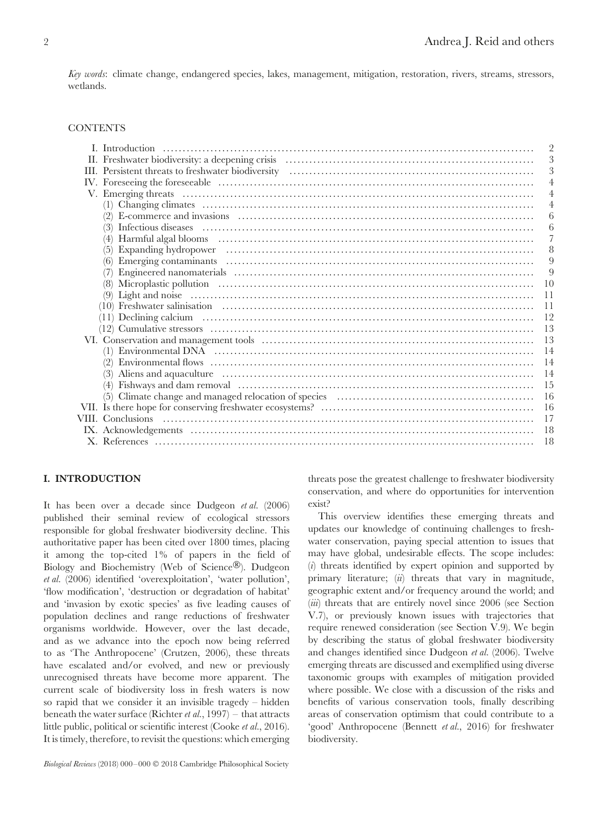*Key words*: climate change, endangered species, lakes, management, mitigation, restoration, rivers, streams, stressors, wetlands.

#### **CONTENTS**

## **I. INTRODUCTION**

It has been over a decade since Dudgeon *et al.* (2006) published their seminal review of ecological stressors responsible for global freshwater biodiversity decline. This authoritative paper has been cited over 1800 times, placing it among the top-cited 1% of papers in the field of Biology and Biochemistry (Web of Science®). Dudgeon *et al.* (2006) identified 'overexploitation', 'water pollution', 'flow modification', 'destruction or degradation of habitat' and 'invasion by exotic species' as five leading causes of population declines and range reductions of freshwater organisms worldwide. However, over the last decade, and as we advance into the epoch now being referred to as 'The Anthropocene' (Crutzen, 2006), these threats have escalated and/or evolved, and new or previously unrecognised threats have become more apparent. The current scale of biodiversity loss in fresh waters is now so rapid that we consider it an invisible tragedy – hidden beneath the water surface (Richter *et al.*, 1997) – that attracts little public, political or scientific interest (Cooke *et al.*, 2016). It is timely, therefore, to revisit the questions: which emerging

threats pose the greatest challenge to freshwater biodiversity conservation, and where do opportunities for intervention exist?

This overview identifies these emerging threats and updates our knowledge of continuing challenges to freshwater conservation, paying special attention to issues that may have global, undesirable effects. The scope includes: (*i*) threats identified by expert opinion and supported by primary literature; (*ii*) threats that vary in magnitude, geographic extent and/or frequency around the world; and (*iii*) threats that are entirely novel since 2006 (see Section V.7), or previously known issues with trajectories that require renewed consideration (see Section V.9). We begin by describing the status of global freshwater biodiversity and changes identified since Dudgeon *et al.* (2006). Twelve emerging threats are discussed and exemplified using diverse taxonomic groups with examples of mitigation provided where possible. We close with a discussion of the risks and benefits of various conservation tools, finally describing areas of conservation optimism that could contribute to a 'good' Anthropocene (Bennett *et al.*, 2016) for freshwater biodiversity.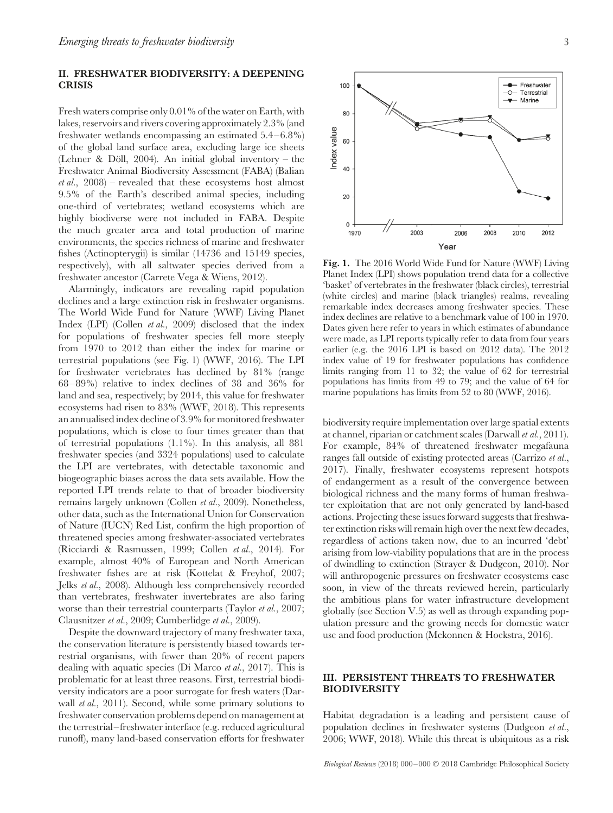## **II. FRESHWATER BIODIVERSITY: A DEEPENING CRISIS**

Fresh waters comprise only 0.01% of the water on Earth, with lakes, reservoirs and rivers covering approximately 2.3% (and freshwater wetlands encompassing an estimated 5.4–6.8%) of the global land surface area, excluding large ice sheets (Lehner & Döll, 2004). An initial global inventory – the Freshwater Animal Biodiversity Assessment (FABA) (Balian *et al.*, 2008) – revealed that these ecosystems host almost 9.5% of the Earth's described animal species, including one-third of vertebrates; wetland ecosystems which are highly biodiverse were not included in FABA. Despite the much greater area and total production of marine environments, the species richness of marine and freshwater fishes (Actinopterygii) is similar (14736 and 15149 species, respectively), with all saltwater species derived from a freshwater ancestor (Carrete Vega & Wiens, 2012).

Alarmingly, indicators are revealing rapid population declines and a large extinction risk in freshwater organisms. The World Wide Fund for Nature (WWF) Living Planet Index (LPI) (Collen *et al.*, 2009) disclosed that the index for populations of freshwater species fell more steeply from 1970 to 2012 than either the index for marine or terrestrial populations (see Fig. 1) (WWF, 2016). The LPI for freshwater vertebrates has declined by 81% (range 68–89%) relative to index declines of 38 and 36% for land and sea, respectively; by 2014, this value for freshwater ecosystems had risen to 83% (WWF, 2018). This represents an annualised index decline of 3.9% for monitored freshwater populations, which is close to four times greater than that of terrestrial populations (1.1%). In this analysis, all 881 freshwater species (and 3324 populations) used to calculate the LPI are vertebrates, with detectable taxonomic and biogeographic biases across the data sets available. How the reported LPI trends relate to that of broader biodiversity remains largely unknown (Collen *et al.*, 2009). Nonetheless, other data, such as the International Union for Conservation of Nature (IUCN) Red List, confirm the high proportion of threatened species among freshwater-associated vertebrates (Ricciardi & Rasmussen, 1999; Collen *et al.*, 2014). For example, almost 40% of European and North American freshwater fishes are at risk (Kottelat & Freyhof, 2007; Jelks *et al.*, 2008). Although less comprehensively recorded than vertebrates, freshwater invertebrates are also faring worse than their terrestrial counterparts (Taylor *et al.*, 2007; Clausnitzer *et al.*, 2009; Cumberlidge *et al.*, 2009).

Despite the downward trajectory of many freshwater taxa, the conservation literature is persistently biased towards terrestrial organisms, with fewer than 20% of recent papers dealing with aquatic species (Di Marco *et al.*, 2017). This is problematic for at least three reasons. First, terrestrial biodiversity indicators are a poor surrogate for fresh waters (Darwall *et al.*, 2011). Second, while some primary solutions to freshwater conservation problems depend on management at the terrestrial–freshwater interface (e.g. reduced agricultural runoff), many land-based conservation efforts for freshwater



**Fig. 1.** The 2016 World Wide Fund for Nature (WWF) Living Planet Index (LPI) shows population trend data for a collective 'basket' of vertebrates in the freshwater (black circles), terrestrial (white circles) and marine (black triangles) realms, revealing remarkable index decreases among freshwater species. These index declines are relative to a benchmark value of 100 in 1970. Dates given here refer to years in which estimates of abundance were made, as LPI reports typically refer to data from four years earlier (e.g. the 2016 LPI is based on 2012 data). The 2012 index value of 19 for freshwater populations has confidence limits ranging from 11 to 32; the value of 62 for terrestrial populations has limits from 49 to 79; and the value of 64 for marine populations has limits from 52 to 80 (WWF, 2016).

biodiversity require implementation over large spatial extents at channel, riparian or catchment scales (Darwall *et al.*, 2011). For example, 84% of threatened freshwater megafauna ranges fall outside of existing protected areas (Carrizo *et al.*, 2017). Finally, freshwater ecosystems represent hotspots of endangerment as a result of the convergence between biological richness and the many forms of human freshwater exploitation that are not only generated by land-based actions. Projecting these issues forward suggests that freshwater extinction risks will remain high over the next few decades, regardless of actions taken now, due to an incurred 'debt' arising from low-viability populations that are in the process of dwindling to extinction (Strayer & Dudgeon, 2010). Nor will anthropogenic pressures on freshwater ecosystems ease soon, in view of the threats reviewed herein, particularly the ambitious plans for water infrastructure development globally (see Section V.5) as well as through expanding population pressure and the growing needs for domestic water use and food production (Mekonnen & Hoekstra, 2016).

# **III. PERSISTENT THREATS TO FRESHWATER BIODIVERSITY**

Habitat degradation is a leading and persistent cause of population declines in freshwater systems (Dudgeon *et al.*, 2006; WWF, 2018). While this threat is ubiquitous as a risk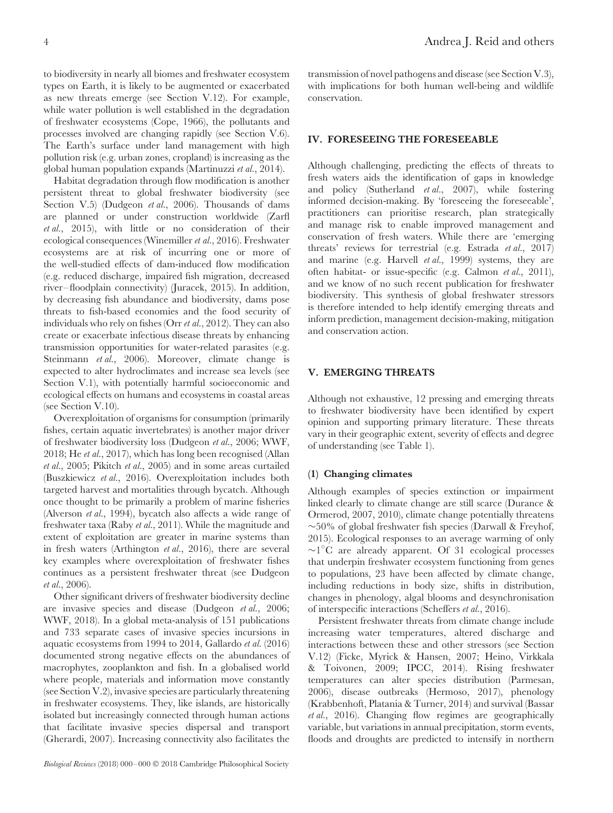to biodiversity in nearly all biomes and freshwater ecosystem types on Earth, it is likely to be augmented or exacerbated as new threats emerge (see Section V.12). For example, while water pollution is well established in the degradation of freshwater ecosystems (Cope, 1966), the pollutants and processes involved are changing rapidly (see Section V.6). The Earth's surface under land management with high pollution risk (e.g. urban zones, cropland) is increasing as the global human population expands (Martinuzzi *et al.*, 2014).

Habitat degradation through flow modification is another persistent threat to global freshwater biodiversity (see Section V.5) (Dudgeon *et al.*, 2006). Thousands of dams are planned or under construction worldwide (Zarfl *et al.*, 2015), with little or no consideration of their ecological consequences (Winemiller *et al.*, 2016). Freshwater ecosystems are at risk of incurring one or more of the well-studied effects of dam-induced flow modification (e.g. reduced discharge, impaired fish migration, decreased river–floodplain connectivity) (Juracek, 2015). In addition, by decreasing fish abundance and biodiversity, dams pose threats to fish-based economies and the food security of individuals who rely on fishes (Orr *et al.*, 2012). They can also create or exacerbate infectious disease threats by enhancing transmission opportunities for water-related parasites (e.g. Steinmann *et al.*, 2006). Moreover, climate change is expected to alter hydroclimates and increase sea levels (see Section V.1), with potentially harmful socioeconomic and ecological effects on humans and ecosystems in coastal areas (see Section V.10).

Overexploitation of organisms for consumption (primarily fishes, certain aquatic invertebrates) is another major driver of freshwater biodiversity loss (Dudgeon *et al.*, 2006; WWF, 2018; He *et al.*, 2017), which has long been recognised (Allan *et al.*, 2005; Pikitch *et al.*, 2005) and in some areas curtailed (Buszkiewicz *et al.*, 2016). Overexploitation includes both targeted harvest and mortalities through bycatch. Although once thought to be primarily a problem of marine fisheries (Alverson *et al.*, 1994), bycatch also affects a wide range of freshwater taxa (Raby *et al.*, 2011). While the magnitude and extent of exploitation are greater in marine systems than in fresh waters (Arthington *et al.*, 2016), there are several key examples where overexploitation of freshwater fishes continues as a persistent freshwater threat (see Dudgeon *et al.*, 2006).

Other significant drivers of freshwater biodiversity decline are invasive species and disease (Dudgeon *et al.*, 2006; WWF, 2018). In a global meta-analysis of 151 publications and 733 separate cases of invasive species incursions in aquatic ecosystems from 1994 to 2014, Gallardo *et al.* (2016) documented strong negative effects on the abundances of macrophytes, zooplankton and fish. In a globalised world where people, materials and information move constantly (see Section V.2), invasive species are particularly threatening in freshwater ecosystems. They, like islands, are historically isolated but increasingly connected through human actions that facilitate invasive species dispersal and transport (Gherardi, 2007). Increasing connectivity also facilitates the transmission of novel pathogens and disease (see Section V.3), with implications for both human well-being and wildlife conservation.

# **IV. FORESEEING THE FORESEEABLE**

Although challenging, predicting the effects of threats to fresh waters aids the identification of gaps in knowledge and policy (Sutherland *et al.*, 2007), while fostering informed decision-making. By 'foreseeing the foreseeable', practitioners can prioritise research, plan strategically and manage risk to enable improved management and conservation of fresh waters. While there are 'emerging threats' reviews for terrestrial (e.g. Estrada *et al.*, 2017) and marine (e.g. Harvell *et al.*, 1999) systems, they are often habitat- or issue-specific (e.g. Calmon *et al.*, 2011), and we know of no such recent publication for freshwater biodiversity. This synthesis of global freshwater stressors is therefore intended to help identify emerging threats and inform prediction, management decision-making, mitigation and conservation action.

## **V. EMERGING THREATS**

Although not exhaustive, 12 pressing and emerging threats to freshwater biodiversity have been identified by expert opinion and supporting primary literature. These threats vary in their geographic extent, severity of effects and degree of understanding (see Table 1).

#### **(1) Changing climates**

Although examples of species extinction or impairment linked clearly to climate change are still scarce (Durance & Ormerod, 2007, 2010), climate change potentially threatens ∼50% of global freshwater fish species (Darwall & Freyhof, 2015). Ecological responses to an average warming of only ∼1◦ C are already apparent. Of 31 ecological processes that underpin freshwater ecosystem functioning from genes to populations, 23 have been affected by climate change, including reductions in body size, shifts in distribution, changes in phenology, algal blooms and desynchronisation of interspecific interactions (Scheffers *et al.*, 2016).

Persistent freshwater threats from climate change include increasing water temperatures, altered discharge and interactions between these and other stressors (see Section V.12) (Ficke, Myrick & Hansen, 2007; Heino, Virkkala & Toivonen, 2009; IPCC, 2014). Rising freshwater temperatures can alter species distribution (Parmesan, 2006), disease outbreaks (Hermoso, 2017), phenology (Krabbenhoft, Platania & Turner, 2014) and survival (Bassar *et al.*, 2016). Changing flow regimes are geographically variable, but variations in annual precipitation, storm events, floods and droughts are predicted to intensify in northern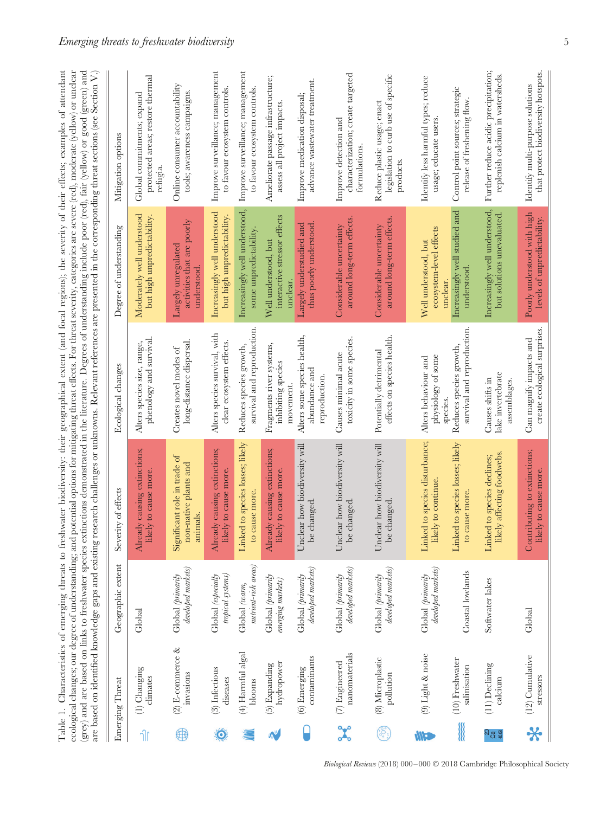| Emerging Threat                 | Geographic extent                       | Severity of effects                                                      | Ecological changes                                            | Degree of understanding                                          | Mitigation options                                                              |
|---------------------------------|-----------------------------------------|--------------------------------------------------------------------------|---------------------------------------------------------------|------------------------------------------------------------------|---------------------------------------------------------------------------------|
| (1) Changing<br>climates        | Global                                  | Already causing extinctions;<br>likely to cause more                     | phenology and survival<br>Alters species size, range,         | Moderately well understood<br>but high unpredictability.         | protected areas; restore thermal<br>Global commitments; expand<br>refugia.      |
| (2) E-commerce &<br>invasions   | developed markets)<br>Global (primarily | $\beta$<br>non-native plants and<br>Significant role in trade<br>animals | long-distance dispersal<br>Creates novel modes of             | activities that are poorly<br>Largely unregulated<br>understood. | Online consumer accountability<br>tools; awareness campaigns                    |
| (3) Infectious<br>diseases      | tropical systems)<br>Global (especially | Already causing extinctions;<br>likely to cause more.                    | Alters species survival, with<br>clear ecosystem effects.     | Increasingly well understood<br>but high unpredictability.       | Improve surveillance; management<br>to favour ecosystem controls.               |
| (4) Harmful algal<br>blooms     | nutrient-rich areas)<br>Global (warm,   | Linked to species losses; likely<br>to cause more.                       | survival and reproduction<br>Reduces species growth,          | Increasingly well understood,<br>some unpredictability           | Improve surveillance; management<br>to favour ecosystem controls.               |
| hydropower<br>(5) Expanding     | Global (primarily<br>emerging markets)  | Already causing extinctions;<br>likely to cause more.                    | Fragments river systems,<br>inhibiting species<br>movement    | interactive stressor effects<br>Well understood, but<br>unclear. | Ameliorate passage infrastructure;<br>assess all project impacts                |
| contaminants<br>(6) Emerging    | developed markets)<br>Global (primarily | Unclear how biodiversity will<br>be changed.                             | Alters some species health,<br>abundance and<br>reproduction. | Largely understudied and<br>thus poorly understood               | advance wastewater treatment.<br>Improve medication disposal;                   |
| nanomaterials<br>(7) Engineered | developed markets)<br>Global (primarily | Unclear how biodiversity will<br>changed.<br>be                          | toxicity in some species.<br>Causes minimal acute             | around long-term effects.<br>Considerable uncertainty            | characterization; create targeted<br>Improve detection and<br>formulations      |
| (8) Microplastic<br>pollution   | developed markets)<br>Global (primarily | Unclear how biodiversity will<br>changed<br>be                           | effects on species health.<br>Potentially detrimental         | around long-term effects.<br>Considerable uncertainty            | legislation to curb use of specific<br>Reduce plastic usage; enact<br>products. |
| (9) Light & noise               | developed markets)<br>Global (primarily | Linked to species disturbance;<br>likely to continue.                    | physiology of some<br>Alters behaviour and                    | ecosystem-level effects<br>Well understood, but                  | Identify less harmful types; reduce<br>usage; educate users                     |
| (10) Freshwater<br>salinisation | Coastal lowlands                        | Linked to species losses; likely<br>to cause more                        | survival and reproduction<br>Reduces species growth,          | Increasingly well studied and<br>understood                      | Control point sources; strategic<br>release of freshening flow                  |
| (11) Declining<br>calcium       | Softwater lakes                         | likely affecting foodwebs<br>Linked to species declines;                 | lake invertebrate<br>Causes shifts in<br>assemblages          | Increasingly well understood,<br>but solutions unevaluated.      | Further reduce acidic precipitation;<br>replenish calcium in watersheds.        |
| (12) Cumulative<br>stressors    | Global                                  | Contributing to extinctions;<br>likely to cause more.                    | create ecological surprises<br>Can magnify impacts and        | Poorly understood with high<br>levels of unpredictability        | that protect biodiversity hotspots.<br>Identify multi-purpose solutions         |
|                                 |                                         |                                                                          |                                                               | species.                                                         | unclear                                                                         |

*Biological Reviews* (2018) 000–000 © 2018 Cambridge Philosophical Society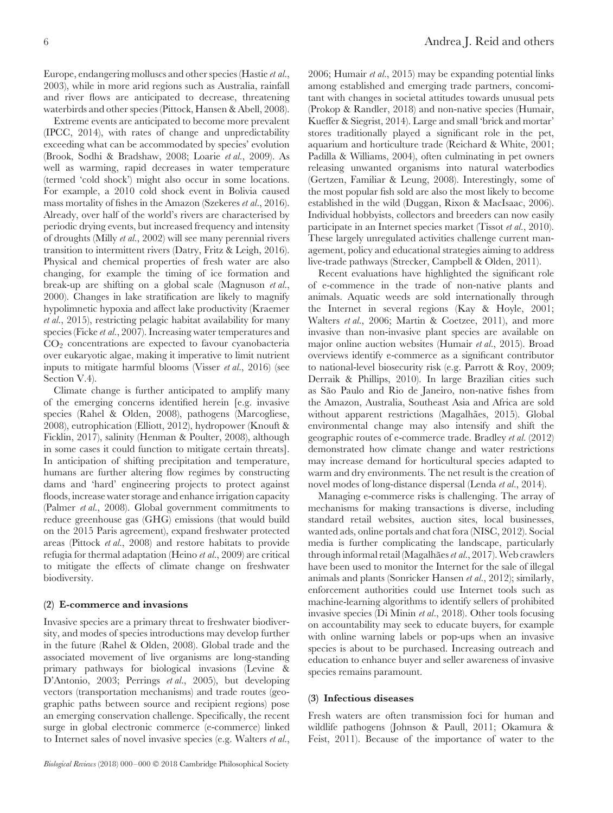Europe, endangering molluscs and other species (Hastie *et al.*, 2003), while in more arid regions such as Australia, rainfall and river flows are anticipated to decrease, threatening waterbirds and other species (Pittock, Hansen & Abell, 2008).

Extreme events are anticipated to become more prevalent (IPCC, 2014), with rates of change and unpredictability exceeding what can be accommodated by species' evolution (Brook, Sodhi & Bradshaw, 2008; Loarie *et al.*, 2009). As well as warming, rapid decreases in water temperature (termed 'cold shock') might also occur in some locations. For example, a 2010 cold shock event in Bolivia caused mass mortality of fishes in the Amazon (Szekeres *et al.*, 2016). Already, over half of the world's rivers are characterised by periodic drying events, but increased frequency and intensity of droughts (Milly *et al.*, 2002) will see many perennial rivers transition to intermittent rivers (Datry, Fritz & Leigh, 2016). Physical and chemical properties of fresh water are also changing, for example the timing of ice formation and break-up are shifting on a global scale (Magnuson *et al.*, 2000). Changes in lake stratification are likely to magnify hypolimnetic hypoxia and affect lake productivity (Kraemer *et al.*, 2015), restricting pelagic habitat availability for many species (Ficke *et al.*, 2007). Increasing water temperatures and  $CO<sub>2</sub>$  concentrations are expected to favour cyanobacteria over eukaryotic algae, making it imperative to limit nutrient inputs to mitigate harmful blooms (Visser *et al.*, 2016) (see Section V.4).

Climate change is further anticipated to amplify many of the emerging concerns identified herein [e.g. invasive species (Rahel & Olden, 2008), pathogens (Marcogliese, 2008), eutrophication (Elliott, 2012), hydropower (Knouft & Ficklin, 2017), salinity (Henman & Poulter, 2008), although in some cases it could function to mitigate certain threats]. In anticipation of shifting precipitation and temperature, humans are further altering flow regimes by constructing dams and 'hard' engineering projects to protect against floods, increase water storage and enhance irrigation capacity (Palmer *et al.*, 2008). Global government commitments to reduce greenhouse gas (GHG) emissions (that would build on the 2015 Paris agreement), expand freshwater protected areas (Pittock *et al.*, 2008) and restore habitats to provide refugia for thermal adaptation (Heino *et al.*, 2009) are critical to mitigate the effects of climate change on freshwater biodiversity.

#### **(2) E-commerce and invasions**

Invasive species are a primary threat to freshwater biodiversity, and modes of species introductions may develop further in the future (Rahel & Olden, 2008). Global trade and the associated movement of live organisms are long-standing primary pathways for biological invasions (Levine & D'Antonio, 2003; Perrings *et al.*, 2005), but developing vectors (transportation mechanisms) and trade routes (geographic paths between source and recipient regions) pose an emerging conservation challenge. Specifically, the recent surge in global electronic commerce (e-commerce) linked to Internet sales of novel invasive species (e.g. Walters *et al.*,

2006; Humair *et al.*, 2015) may be expanding potential links among established and emerging trade partners, concomitant with changes in societal attitudes towards unusual pets (Prokop & Randler, 2018) and non-native species (Humair, Kueffer & Siegrist, 2014). Large and small 'brick and mortar' stores traditionally played a significant role in the pet, aquarium and horticulture trade (Reichard & White, 2001; Padilla & Williams, 2004), often culminating in pet owners releasing unwanted organisms into natural waterbodies (Gertzen, Familiar & Leung, 2008). Interestingly, some of the most popular fish sold are also the most likely to become established in the wild (Duggan, Rixon & MacIsaac, 2006). Individual hobbyists, collectors and breeders can now easily participate in an Internet species market (Tissot *et al.*, 2010). These largely unregulated activities challenge current management, policy and educational strategies aiming to address live-trade pathways (Strecker, Campbell & Olden, 2011).

Recent evaluations have highlighted the significant role of e-commence in the trade of non-native plants and animals. Aquatic weeds are sold internationally through the Internet in several regions (Kay & Hoyle, 2001; Walters *et al.*, 2006; Martin & Coetzee, 2011), and more invasive than non-invasive plant species are available on major online auction websites (Humair *et al.*, 2015). Broad overviews identify e-commerce as a significant contributor to national-level biosecurity risk (e.g. Parrott & Roy, 2009; Derraik & Phillips, 2010). In large Brazilian cities such as São Paulo and Rio de Janeiro, non-native fishes from the Amazon, Australia, Southeast Asia and Africa are sold without apparent restrictions (Magalhães, 2015). Global environmental change may also intensify and shift the geographic routes of e-commerce trade. Bradley *et al.* (2012) demonstrated how climate change and water restrictions may increase demand for horticultural species adapted to warm and dry environments. The net result is the creation of novel modes of long-distance dispersal (Lenda *et al.*, 2014).

Managing e-commerce risks is challenging. The array of mechanisms for making transactions is diverse, including standard retail websites, auction sites, local businesses, wanted ads, online portals and chat fora (NISC, 2012). Social media is further complicating the landscape, particularly through informal retail (Magalhães et al., 2017). Web crawlers have been used to monitor the Internet for the sale of illegal animals and plants (Sonricker Hansen *et al.*, 2012); similarly, enforcement authorities could use Internet tools such as machine-learning algorithms to identify sellers of prohibited invasive species (Di Minin *et al.*, 2018). Other tools focusing on accountability may seek to educate buyers, for example with online warning labels or pop-ups when an invasive species is about to be purchased. Increasing outreach and education to enhance buyer and seller awareness of invasive species remains paramount.

#### **(3) Infectious diseases**

Fresh waters are often transmission foci for human and wildlife pathogens (Johnson & Paull, 2011; Okamura & Feist, 2011). Because of the importance of water to the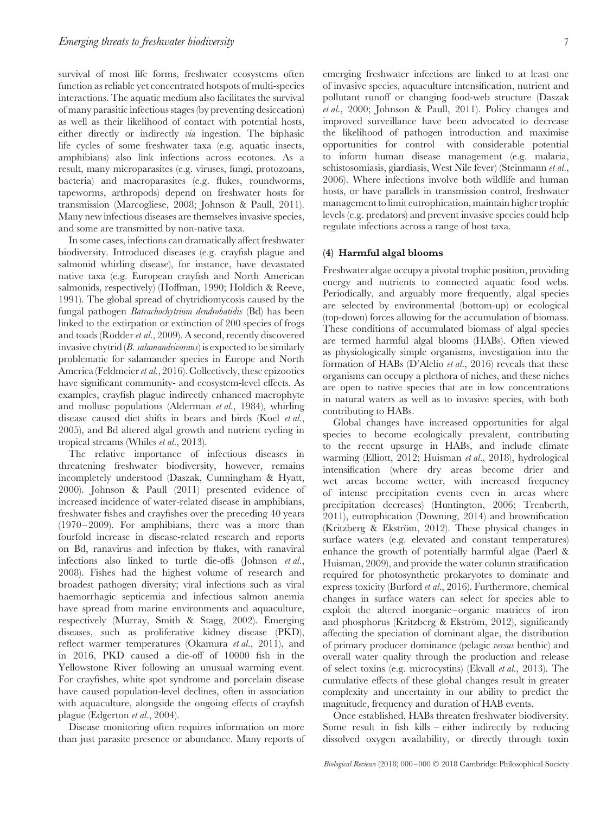survival of most life forms, freshwater ecosystems often function as reliable yet concentrated hotspots of multi-species interactions. The aquatic medium also facilitates the survival of many parasitic infectious stages (by preventing desiccation) as well as their likelihood of contact with potential hosts, either directly or indirectly *via* ingestion. The biphasic life cycles of some freshwater taxa (e.g. aquatic insects, amphibians) also link infections across ecotones. As a result, many microparasites (e.g. viruses, fungi, protozoans, bacteria) and macroparasites (e.g. flukes, roundworms, tapeworms, arthropods) depend on freshwater hosts for transmission (Marcogliese, 2008; Johnson & Paull, 2011). Many new infectious diseases are themselves invasive species, and some are transmitted by non-native taxa.

In some cases, infections can dramatically affect freshwater biodiversity. Introduced diseases (e.g. crayfish plague and salmonid whirling disease), for instance, have devastated native taxa (e.g. European crayfish and North American salmonids, respectively) (Hoffman, 1990; Holdich & Reeve, 1991). The global spread of chytridiomycosis caused by the fungal pathogen *Batrachochytrium dendrobatidis* (Bd) has been linked to the extirpation or extinction of 200 species of frogs and toads (Rödder et al., 2009). A second, recently discovered invasive chytrid (*B. salamandrivorans*) is expected to be similarly problematic for salamander species in Europe and North America (Feldmeier*et al.*, 2016). Collectively, these epizootics have significant community- and ecosystem-level effects. As examples, crayfish plague indirectly enhanced macrophyte and mollusc populations (Alderman *et al.*, 1984), whirling disease caused diet shifts in bears and birds (Koel *et al.*, 2005), and Bd altered algal growth and nutrient cycling in tropical streams (Whiles *et al.*, 2013).

The relative importance of infectious diseases in threatening freshwater biodiversity, however, remains incompletely understood (Daszak, Cunningham & Hyatt, 2000). Johnson & Paull (2011) presented evidence of increased incidence of water-related disease in amphibians, freshwater fishes and crayfishes over the preceding 40 years (1970–2009). For amphibians, there was a more than fourfold increase in disease-related research and reports on Bd, ranavirus and infection by flukes, with ranaviral infections also linked to turtle die-offs (Johnson *et al.*, 2008). Fishes had the highest volume of research and broadest pathogen diversity; viral infections such as viral haemorrhagic septicemia and infectious salmon anemia have spread from marine environments and aquaculture, respectively (Murray, Smith & Stagg, 2002). Emerging diseases, such as proliferative kidney disease (PKD), reflect warmer temperatures (Okamura *et al.*, 2011), and in 2016, PKD caused a die-off of 10000 fish in the Yellowstone River following an unusual warming event. For crayfishes, white spot syndrome and porcelain disease have caused population-level declines, often in association with aquaculture, alongside the ongoing effects of crayfish plague (Edgerton *et al.*, 2004).

Disease monitoring often requires information on more than just parasite presence or abundance. Many reports of emerging freshwater infections are linked to at least one of invasive species, aquaculture intensification, nutrient and pollutant runoff or changing food-web structure (Daszak *et al.*, 2000; Johnson & Paull, 2011). Policy changes and improved surveillance have been advocated to decrease the likelihood of pathogen introduction and maximise opportunities for control – with considerable potential to inform human disease management (e.g. malaria, schistosomiasis, giardiasis, West Nile fever) (Steinmann *et al.*, 2006). Where infections involve both wildlife and human hosts, or have parallels in transmission control, freshwater management to limit eutrophication, maintain higher trophic levels (e.g. predators) and prevent invasive species could help regulate infections across a range of host taxa.

## **(4) Harmful algal blooms**

Freshwater algae occupy a pivotal trophic position, providing energy and nutrients to connected aquatic food webs. Periodically, and arguably more frequently, algal species are selected by environmental (bottom-up) or ecological (top-down) forces allowing for the accumulation of biomass. These conditions of accumulated biomass of algal species are termed harmful algal blooms (HABs). Often viewed as physiologically simple organisms, investigation into the formation of HABs (D'Alelio *et al.*, 2016) reveals that these organisms can occupy a plethora of niches, and these niches are open to native species that are in low concentrations in natural waters as well as to invasive species, with both contributing to HABs.

Global changes have increased opportunities for algal species to become ecologically prevalent, contributing to the recent upsurge in HABs, and include climate warming (Elliott, 2012; Huisman *et al.*, 2018), hydrological intensification (where dry areas become drier and wet areas become wetter, with increased frequency of intense precipitation events even in areas where precipitation decreases) (Huntington, 2006; Trenberth, 2011), eutrophication (Downing, 2014) and brownification (Kritzberg & Ekström, 2012). These physical changes in surface waters (e.g. elevated and constant temperatures) enhance the growth of potentially harmful algae (Paerl & Huisman, 2009), and provide the water column stratification required for photosynthetic prokaryotes to dominate and express toxicity (Burford *et al.*, 2016). Furthermore, chemical changes in surface waters can select for species able to exploit the altered inorganic–organic matrices of iron and phosphorus (Kritzberg & Ekström, 2012), significantly affecting the speciation of dominant algae, the distribution of primary producer dominance (pelagic *versus* benthic) and overall water quality through the production and release of select toxins (e.g. microcystins) (Ekvall *et al.*, 2013). The cumulative effects of these global changes result in greater complexity and uncertainty in our ability to predict the magnitude, frequency and duration of HAB events.

Once established, HABs threaten freshwater biodiversity. Some result in fish kills – either indirectly by reducing dissolved oxygen availability, or directly through toxin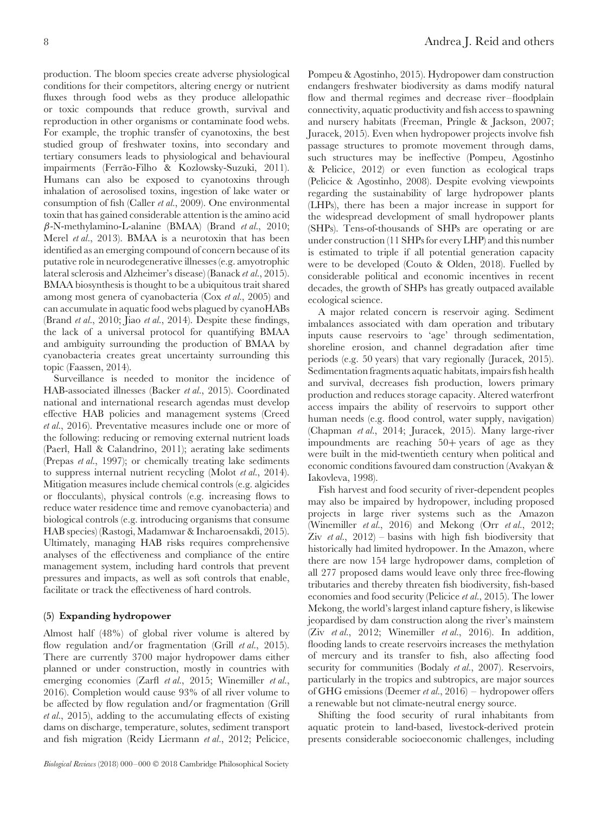production. The bloom species create adverse physiological conditions for their competitors, altering energy or nutrient fluxes through food webs as they produce allelopathic or toxic compounds that reduce growth, survival and reproduction in other organisms or contaminate food webs. For example, the trophic transfer of cyanotoxins, the best studied group of freshwater toxins, into secondary and tertiary consumers leads to physiological and behavioural impairments (Ferrão-Filho & Kozlowsky-Suzuki, 2011). Humans can also be exposed to cyanotoxins through inhalation of aerosolised toxins, ingestion of lake water or consumption of fish (Caller *et al.*, 2009). One environmental toxin that has gained considerable attention is the amino acid *β*-N-methylamino-L-alanine (BMAA) (Brand *et al.*, 2010; Merel *et al.*, 2013). BMAA is a neurotoxin that has been identified as an emerging compound of concern because of its putative role in neurodegenerative illnesses (e.g. amyotrophic lateral sclerosis and Alzheimer's disease) (Banack *et al.*, 2015). BMAA biosynthesis is thought to be a ubiquitous trait shared among most genera of cyanobacteria (Cox *et al.*, 2005) and can accumulate in aquatic food webs plagued by cyanoHABs (Brand *et al.*, 2010; Jiao *et al.*, 2014). Despite these findings, the lack of a universal protocol for quantifying BMAA and ambiguity surrounding the production of BMAA by cyanobacteria creates great uncertainty surrounding this topic (Faassen, 2014).

Surveillance is needed to monitor the incidence of HAB-associated illnesses (Backer *et al.*, 2015). Coordinated national and international research agendas must develop effective HAB policies and management systems (Creed *et al.*, 2016). Preventative measures include one or more of the following: reducing or removing external nutrient loads (Paerl, Hall & Calandrino, 2011); aerating lake sediments (Prepas *et al.*, 1997); or chemically treating lake sediments to suppress internal nutrient recycling (Molot *et al.*, 2014). Mitigation measures include chemical controls (e.g. algicides or flocculants), physical controls (e.g. increasing flows to reduce water residence time and remove cyanobacteria) and biological controls (e.g. introducing organisms that consume HAB species) (Rastogi, Madamwar & Incharoensakdi, 2015). Ultimately, managing HAB risks requires comprehensive analyses of the effectiveness and compliance of the entire management system, including hard controls that prevent pressures and impacts, as well as soft controls that enable, facilitate or track the effectiveness of hard controls.

## **(5) Expanding hydropower**

Almost half (48%) of global river volume is altered by flow regulation and/or fragmentation (Grill *et al.*, 2015). There are currently 3700 major hydropower dams either planned or under construction, mostly in countries with emerging economies (Zarfl *et al.*, 2015; Winemiller *et al.*, 2016). Completion would cause 93% of all river volume to be affected by flow regulation and/or fragmentation (Grill *et al.*, 2015), adding to the accumulating effects of existing dams on discharge, temperature, solutes, sediment transport and fish migration (Reidy Liermann *et al.*, 2012; Pelicice,

Pompeu & Agostinho, 2015). Hydropower dam construction endangers freshwater biodiversity as dams modify natural flow and thermal regimes and decrease river–floodplain connectivity, aquatic productivity and fish access to spawning and nursery habitats (Freeman, Pringle & Jackson, 2007; Juracek, 2015). Even when hydropower projects involve fish passage structures to promote movement through dams, such structures may be ineffective (Pompeu, Agostinho & Pelicice, 2012) or even function as ecological traps (Pelicice & Agostinho, 2008). Despite evolving viewpoints regarding the sustainability of large hydropower plants (LHPs), there has been a major increase in support for the widespread development of small hydropower plants (SHPs). Tens-of-thousands of SHPs are operating or are under construction (11 SHPs for every LHP) and this number is estimated to triple if all potential generation capacity were to be developed (Couto & Olden, 2018). Fuelled by considerable political and economic incentives in recent decades, the growth of SHPs has greatly outpaced available ecological science.

A major related concern is reservoir aging. Sediment imbalances associated with dam operation and tributary inputs cause reservoirs to 'age' through sedimentation, shoreline erosion, and channel degradation after time periods (e.g. 50 years) that vary regionally (Juracek, 2015). Sedimentation fragments aquatic habitats, impairs fish health and survival, decreases fish production, lowers primary production and reduces storage capacity. Altered waterfront access impairs the ability of reservoirs to support other human needs (e.g. flood control, water supply, navigation) (Chapman *et al.*, 2014; Juracek, 2015). Many large-river impoundments are reaching 50+ years of age as they were built in the mid-twentieth century when political and economic conditions favoured dam construction (Avakyan & Iakovleva, 1998).

Fish harvest and food security of river-dependent peoples may also be impaired by hydropower, including proposed projects in large river systems such as the Amazon (Winemiller *et al.*, 2016) and Mekong (Orr *et al.*, 2012; Ziv *et al.*,  $2012$ ) – basins with high fish biodiversity that historically had limited hydropower. In the Amazon, where there are now 154 large hydropower dams, completion of all 277 proposed dams would leave only three free-flowing tributaries and thereby threaten fish biodiversity, fish-based economies and food security (Pelicice *et al.*, 2015). The lower Mekong, the world's largest inland capture fishery, is likewise jeopardised by dam construction along the river's mainstem (Ziv *et al.*, 2012; Winemiller *et al.*, 2016). In addition, flooding lands to create reservoirs increases the methylation of mercury and its transfer to fish, also affecting food security for communities (Bodaly *et al.*, 2007). Reservoirs, particularly in the tropics and subtropics, are major sources of GHG emissions (Deemer *et al.*, 2016) – hydropower offers a renewable but not climate-neutral energy source.

Shifting the food security of rural inhabitants from aquatic protein to land-based, livestock-derived protein presents considerable socioeconomic challenges, including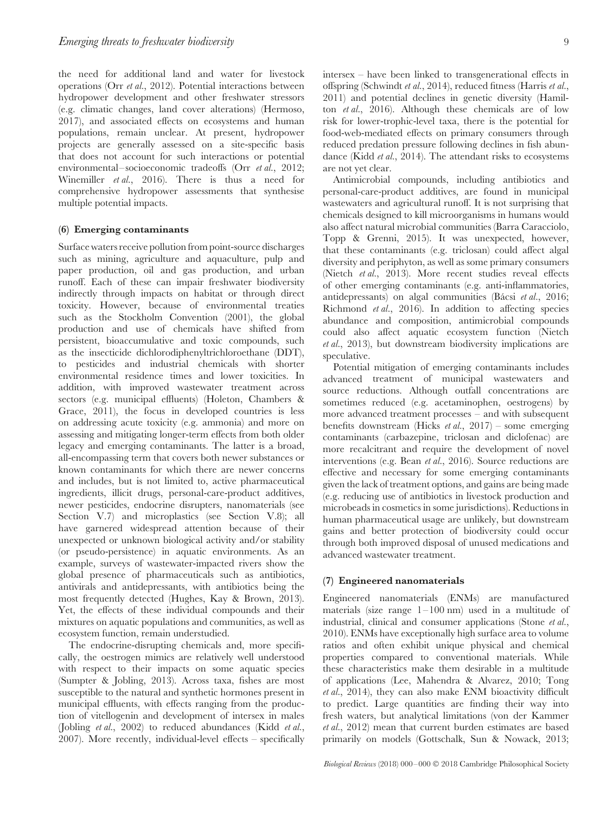the need for additional land and water for livestock operations (Orr *et al.*, 2012). Potential interactions between hydropower development and other freshwater stressors (e.g. climatic changes, land cover alterations) (Hermoso, 2017), and associated effects on ecosystems and human populations, remain unclear. At present, hydropower projects are generally assessed on a site-specific basis that does not account for such interactions or potential environmental–socioeconomic tradeoffs (Orr *et al.*, 2012; Winemiller *et al.*, 2016). There is thus a need for comprehensive hydropower assessments that synthesise multiple potential impacts.

## **(6) Emerging contaminants**

Surface waters receive pollution from point-source discharges such as mining, agriculture and aquaculture, pulp and paper production, oil and gas production, and urban runoff. Each of these can impair freshwater biodiversity indirectly through impacts on habitat or through direct toxicity. However, because of environmental treaties such as the Stockholm Convention (2001), the global production and use of chemicals have shifted from persistent, bioaccumulative and toxic compounds, such as the insecticide dichlorodiphenyltrichloroethane (DDT), to pesticides and industrial chemicals with shorter environmental residence times and lower toxicities. In addition, with improved wastewater treatment across sectors (e.g. municipal effluents) (Holeton, Chambers & Grace, 2011), the focus in developed countries is less on addressing acute toxicity (e.g. ammonia) and more on assessing and mitigating longer-term effects from both older legacy and emerging contaminants. The latter is a broad, all-encompassing term that covers both newer substances or known contaminants for which there are newer concerns and includes, but is not limited to, active pharmaceutical ingredients, illicit drugs, personal-care-product additives, newer pesticides, endocrine disrupters, nanomaterials (see Section V.7) and microplastics (see Section V.8); all have garnered widespread attention because of their unexpected or unknown biological activity and/or stability (or pseudo-persistence) in aquatic environments. As an example, surveys of wastewater-impacted rivers show the global presence of pharmaceuticals such as antibiotics, antivirals and antidepressants, with antibiotics being the most frequently detected (Hughes, Kay & Brown, 2013). Yet, the effects of these individual compounds and their mixtures on aquatic populations and communities, as well as ecosystem function, remain understudied.

The endocrine-disrupting chemicals and, more specifically, the oestrogen mimics are relatively well understood with respect to their impacts on some aquatic species (Sumpter & Jobling, 2013). Across taxa, fishes are most susceptible to the natural and synthetic hormones present in municipal effluents, with effects ranging from the production of vitellogenin and development of intersex in males (Jobling *et al.*, 2002) to reduced abundances (Kidd *et al.*, 2007). More recently, individual-level effects – specifically intersex – have been linked to transgenerational effects in offspring (Schwindt *et al.*, 2014), reduced fitness (Harris *et al.*, 2011) and potential declines in genetic diversity (Hamilton *et al.*, 2016). Although these chemicals are of low risk for lower-trophic-level taxa, there is the potential for food-web-mediated effects on primary consumers through reduced predation pressure following declines in fish abundance (Kidd *et al.*, 2014). The attendant risks to ecosystems are not yet clear.

Antimicrobial compounds, including antibiotics and personal-care-product additives, are found in municipal wastewaters and agricultural runoff. It is not surprising that chemicals designed to kill microorganisms in humans would also affect natural microbial communities (Barra Caracciolo, Topp & Grenni, 2015). It was unexpected, however, that these contaminants (e.g. triclosan) could affect algal diversity and periphyton, as well as some primary consumers (Nietch *et al.*, 2013). More recent studies reveal effects of other emerging contaminants (e.g. anti-inflammatories, antidepressants) on algal communities (Bácsi et al., 2016; Richmond *et al.*, 2016). In addition to affecting species abundance and composition, antimicrobial compounds could also affect aquatic ecosystem function (Nietch *et al.*, 2013), but downstream biodiversity implications are speculative.

Potential mitigation of emerging contaminants includes advanced treatment of municipal wastewaters and source reductions. Although outfall concentrations are sometimes reduced (e.g. acetaminophen, oestrogens) by more advanced treatment processes – and with subsequent benefits downstream (Hicks *et al.*, 2017) – some emerging contaminants (carbazepine, triclosan and diclofenac) are more recalcitrant and require the development of novel interventions (e.g. Bean *et al.*, 2016). Source reductions are effective and necessary for some emerging contaminants given the lack of treatment options, and gains are being made (e.g. reducing use of antibiotics in livestock production and microbeads in cosmetics in some jurisdictions). Reductions in human pharmaceutical usage are unlikely, but downstream gains and better protection of biodiversity could occur through both improved disposal of unused medications and advanced wastewater treatment.

## **(7) Engineered nanomaterials**

Engineered nanomaterials (ENMs) are manufactured materials (size range  $1-100$  nm) used in a multitude of industrial, clinical and consumer applications (Stone *et al.*, 2010). ENMs have exceptionally high surface area to volume ratios and often exhibit unique physical and chemical properties compared to conventional materials. While these characteristics make them desirable in a multitude of applications (Lee, Mahendra & Alvarez, 2010; Tong *et al.*, 2014), they can also make ENM bioactivity difficult to predict. Large quantities are finding their way into fresh waters, but analytical limitations (von der Kammer *et al.*, 2012) mean that current burden estimates are based primarily on models (Gottschalk, Sun & Nowack, 2013;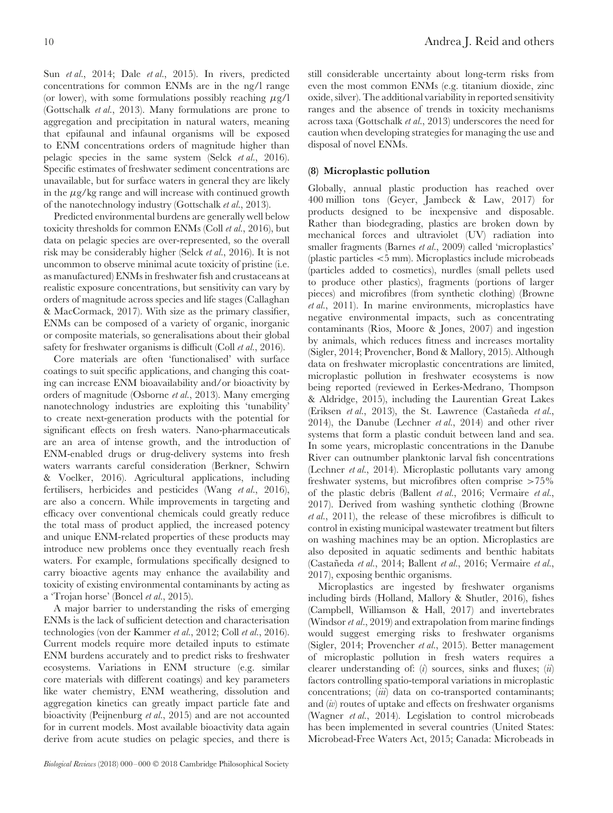Sun *et al.*, 2014; Dale *et al.*, 2015). In rivers, predicted concentrations for common ENMs are in the ng/l range (or lower), with some formulations possibly reaching *μ*g/l (Gottschalk *et al.*, 2013). Many formulations are prone to aggregation and precipitation in natural waters, meaning that epifaunal and infaunal organisms will be exposed to ENM concentrations orders of magnitude higher than pelagic species in the same system (Selck *et al.*, 2016). Specific estimates of freshwater sediment concentrations are unavailable, but for surface waters in general they are likely in the *μ*g/kg range and will increase with continued growth of the nanotechnology industry (Gottschalk *et al.*, 2013).

Predicted environmental burdens are generally well below toxicity thresholds for common ENMs (Coll *et al.*, 2016), but data on pelagic species are over-represented, so the overall risk may be considerably higher (Selck *et al.*, 2016). It is not uncommon to observe minimal acute toxicity of pristine (i.e. as manufactured) ENMs in freshwater fish and crustaceans at realistic exposure concentrations, but sensitivity can vary by orders of magnitude across species and life stages (Callaghan & MacCormack, 2017). With size as the primary classifier, ENMs can be composed of a variety of organic, inorganic or composite materials, so generalisations about their global safety for freshwater organisms is difficult (Coll *et al.*, 2016).

Core materials are often 'functionalised' with surface coatings to suit specific applications, and changing this coating can increase ENM bioavailability and/or bioactivity by orders of magnitude (Osborne *et al.*, 2013). Many emerging nanotechnology industries are exploiting this 'tunability' to create next-generation products with the potential for significant effects on fresh waters. Nano-pharmaceuticals are an area of intense growth, and the introduction of ENM-enabled drugs or drug-delivery systems into fresh waters warrants careful consideration (Berkner, Schwirn & Voelker, 2016). Agricultural applications, including fertilisers, herbicides and pesticides (Wang *et al.*, 2016), are also a concern. While improvements in targeting and efficacy over conventional chemicals could greatly reduce the total mass of product applied, the increased potency and unique ENM-related properties of these products may introduce new problems once they eventually reach fresh waters. For example, formulations specifically designed to carry bioactive agents may enhance the availability and toxicity of existing environmental contaminants by acting as a 'Trojan horse' (Boncel *et al.*, 2015).

A major barrier to understanding the risks of emerging ENMs is the lack of sufficient detection and characterisation technologies (von der Kammer *et al.*, 2012; Coll *et al.*, 2016). Current models require more detailed inputs to estimate ENM burdens accurately and to predict risks to freshwater ecosystems. Variations in ENM structure (e.g. similar core materials with different coatings) and key parameters like water chemistry, ENM weathering, dissolution and aggregation kinetics can greatly impact particle fate and bioactivity (Peijnenburg *et al.*, 2015) and are not accounted for in current models. Most available bioactivity data again derive from acute studies on pelagic species, and there is

*Biological Reviews* (2018) 000–000 © 2018 Cambridge Philosophical Society

still considerable uncertainty about long-term risks from even the most common ENMs (e.g. titanium dioxide, zinc oxide, silver). The additional variability in reported sensitivity ranges and the absence of trends in toxicity mechanisms across taxa (Gottschalk *et al.*, 2013) underscores the need for caution when developing strategies for managing the use and disposal of novel ENMs.

## **(8) Microplastic pollution**

Globally, annual plastic production has reached over 400 million tons (Geyer, Jambeck & Law, 2017) for products designed to be inexpensive and disposable. Rather than biodegrading, plastics are broken down by mechanical forces and ultraviolet (UV) radiation into smaller fragments (Barnes *et al.*, 2009) called 'microplastics' (plastic particles *<*5 mm). Microplastics include microbeads (particles added to cosmetics), nurdles (small pellets used to produce other plastics), fragments (portions of larger pieces) and microfibres (from synthetic clothing) (Browne *et al.*, 2011). In marine environments, microplastics have negative environmental impacts, such as concentrating contaminants (Rios, Moore & Jones, 2007) and ingestion by animals, which reduces fitness and increases mortality (Sigler, 2014; Provencher, Bond & Mallory, 2015). Although data on freshwater microplastic concentrations are limited, microplastic pollution in freshwater ecosystems is now being reported (reviewed in Eerkes-Medrano, Thompson & Aldridge, 2015), including the Laurentian Great Lakes (Eriksen *et al.*, 2013), the St. Lawrence (Castañeda *et al.*, 2014), the Danube (Lechner *et al.*, 2014) and other river systems that form a plastic conduit between land and sea. In some years, microplastic concentrations in the Danube River can outnumber planktonic larval fish concentrations (Lechner *et al.*, 2014). Microplastic pollutants vary among freshwater systems, but microfibres often comprise *>*75% of the plastic debris (Ballent *et al.*, 2016; Vermaire *et al.*, 2017). Derived from washing synthetic clothing (Browne *et al.*, 2011), the release of these microfibres is difficult to control in existing municipal wastewater treatment but filters on washing machines may be an option. Microplastics are also deposited in aquatic sediments and benthic habitats (Castaneda ˜ *et al.*, 2014; Ballent *et al.*, 2016; Vermaire *et al.*, 2017), exposing benthic organisms.

Microplastics are ingested by freshwater organisms including birds (Holland, Mallory & Shutler, 2016), fishes (Campbell, Williamson & Hall, 2017) and invertebrates (Windsor *et al.*, 2019) and extrapolation from marine findings would suggest emerging risks to freshwater organisms (Sigler, 2014; Provencher *et al.*, 2015). Better management of microplastic pollution in fresh waters requires a clearer understanding of: (*i*) sources, sinks and fluxes; (*ii*) factors controlling spatio-temporal variations in microplastic concentrations; (*iii*) data on co-transported contaminants; and (*iv*) routes of uptake and effects on freshwater organisms (Wagner *et al.*, 2014). Legislation to control microbeads has been implemented in several countries (United States: Microbead-Free Waters Act, 2015; Canada: Microbeads in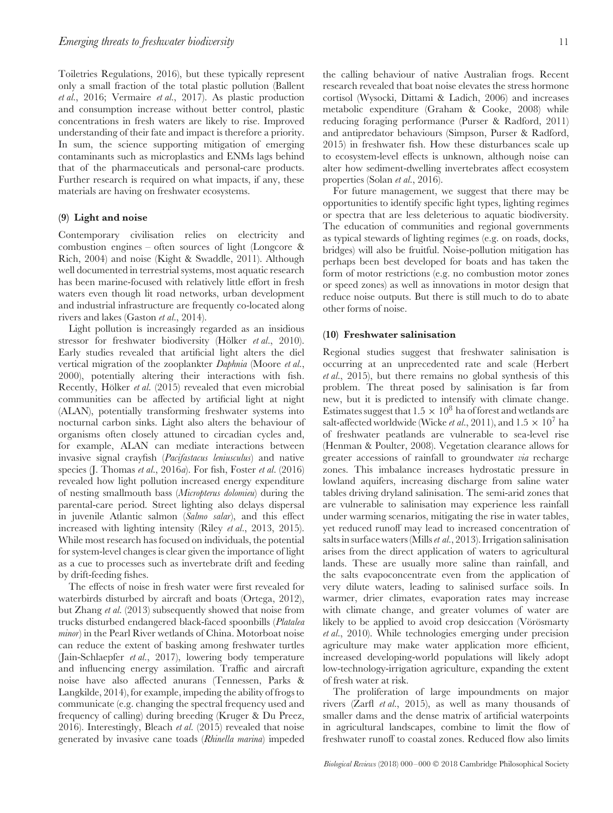Toiletries Regulations, 2016), but these typically represent only a small fraction of the total plastic pollution (Ballent *et al.*, 2016; Vermaire *et al.*, 2017). As plastic production and consumption increase without better control, plastic concentrations in fresh waters are likely to rise. Improved understanding of their fate and impact is therefore a priority. In sum, the science supporting mitigation of emerging contaminants such as microplastics and ENMs lags behind that of the pharmaceuticals and personal-care products. Further research is required on what impacts, if any, these materials are having on freshwater ecosystems.

#### **(9) Light and noise**

Contemporary civilisation relies on electricity and combustion engines – often sources of light (Longcore & Rich, 2004) and noise (Kight & Swaddle, 2011). Although well documented in terrestrial systems, most aquatic research has been marine-focused with relatively little effort in fresh waters even though lit road networks, urban development and industrial infrastructure are frequently co-located along rivers and lakes (Gaston *et al.*, 2014).

Light pollution is increasingly regarded as an insidious stressor for freshwater biodiversity (Hölker *et al.*, 2010). Early studies revealed that artificial light alters the diel vertical migration of the zooplankter *Daphnia* (Moore *et al.*, 2000), potentially altering their interactions with fish. Recently, Hölker et al. (2015) revealed that even microbial communities can be affected by artificial light at night (ALAN), potentially transforming freshwater systems into nocturnal carbon sinks. Light also alters the behaviour of organisms often closely attuned to circadian cycles and, for example, ALAN can mediate interactions between invasive signal crayfish (*Pacifastacus leniusculus*) and native species (J. Thomas *et al.*, 2016*a*). For fish, Foster *et al.* (2016) revealed how light pollution increased energy expenditure of nesting smallmouth bass (*Micropterus dolomieu*) during the parental-care period. Street lighting also delays dispersal in juvenile Atlantic salmon (*Salmo salar*), and this effect increased with lighting intensity (Riley *et al.*, 2013, 2015). While most research has focused on individuals, the potential for system-level changes is clear given the importance of light as a cue to processes such as invertebrate drift and feeding by drift-feeding fishes.

The effects of noise in fresh water were first revealed for waterbirds disturbed by aircraft and boats (Ortega, 2012), but Zhang *et al.* (2013) subsequently showed that noise from trucks disturbed endangered black-faced spoonbills (*Platalea minor*) in the Pearl River wetlands of China. Motorboat noise can reduce the extent of basking among freshwater turtles (Jain-Schlaepfer *et al.*, 2017), lowering body temperature and influencing energy assimilation. Traffic and aircraft noise have also affected anurans (Tennessen, Parks & Langkilde, 2014), for example, impeding the ability of frogs to communicate (e.g. changing the spectral frequency used and frequency of calling) during breeding (Kruger & Du Preez, 2016). Interestingly, Bleach *et al.* (2015) revealed that noise generated by invasive cane toads (*Rhinella marina*) impeded the calling behaviour of native Australian frogs. Recent research revealed that boat noise elevates the stress hormone cortisol (Wysocki, Dittami & Ladich, 2006) and increases metabolic expenditure (Graham & Cooke, 2008) while reducing foraging performance (Purser & Radford, 2011) and antipredator behaviours (Simpson, Purser & Radford, 2015) in freshwater fish. How these disturbances scale up to ecosystem-level effects is unknown, although noise can alter how sediment-dwelling invertebrates affect ecosystem properties (Solan *et al.*, 2016).

For future management, we suggest that there may be opportunities to identify specific light types, lighting regimes or spectra that are less deleterious to aquatic biodiversity. The education of communities and regional governments as typical stewards of lighting regimes (e.g. on roads, docks, bridges) will also be fruitful. Noise-pollution mitigation has perhaps been best developed for boats and has taken the form of motor restrictions (e.g. no combustion motor zones or speed zones) as well as innovations in motor design that reduce noise outputs. But there is still much to do to abate other forms of noise.

#### **(10) Freshwater salinisation**

Regional studies suggest that freshwater salinisation is occurring at an unprecedented rate and scale (Herbert *et al.*, 2015), but there remains no global synthesis of this problem. The threat posed by salinisation is far from new, but it is predicted to intensify with climate change. Estimates suggest that  $1.5 \times 10^8$  ha of forest and wetlands are salt-affected worldwide (Wicke *et al.*, 2011), and  $1.5 \times 10^7$  ha of freshwater peatlands are vulnerable to sea-level rise (Henman & Poulter, 2008). Vegetation clearance allows for greater accessions of rainfall to groundwater *via* recharge zones. This imbalance increases hydrostatic pressure in lowland aquifers, increasing discharge from saline water tables driving dryland salinisation. The semi-arid zones that are vulnerable to salinisation may experience less rainfall under warming scenarios, mitigating the rise in water tables, yet reduced runoff may lead to increased concentration of salts in surface waters (Mills*et al.*, 2013). Irrigation salinisation arises from the direct application of waters to agricultural lands. These are usually more saline than rainfall, and the salts evapoconcentrate even from the application of very dilute waters, leading to salinised surface soils. In warmer, drier climates, evaporation rates may increase with climate change, and greater volumes of water are likely to be applied to avoid crop desiccation (Vörösmarty *et al.*, 2010). While technologies emerging under precision agriculture may make water application more efficient, increased developing-world populations will likely adopt low-technology-irrigation agriculture, expanding the extent of fresh water at risk.

The proliferation of large impoundments on major rivers (Zarfl *et al.*, 2015), as well as many thousands of smaller dams and the dense matrix of artificial waterpoints in agricultural landscapes, combine to limit the flow of freshwater runoff to coastal zones. Reduced flow also limits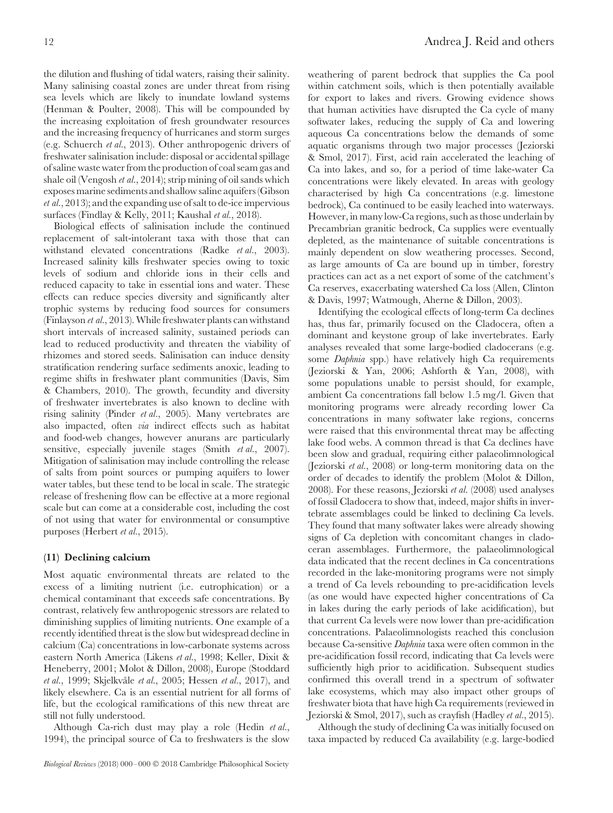the dilution and flushing of tidal waters, raising their salinity. Many salinising coastal zones are under threat from rising sea levels which are likely to inundate lowland systems (Henman & Poulter, 2008). This will be compounded by the increasing exploitation of fresh groundwater resources and the increasing frequency of hurricanes and storm surges (e.g. Schuerch *et al.*, 2013). Other anthropogenic drivers of freshwater salinisation include: disposal or accidental spillage of saline waste water from the production of coal seam gas and shale oil (Vengosh *et al.*, 2014); strip mining of oil sands which exposes marine sediments and shallow saline aquifers (Gibson *et al.*, 2013); and the expanding use of salt to de-ice impervious surfaces (Findlay & Kelly, 2011; Kaushal *et al.*, 2018).

Biological effects of salinisation include the continued replacement of salt-intolerant taxa with those that can withstand elevated concentrations (Radke *et al.*, 2003). Increased salinity kills freshwater species owing to toxic levels of sodium and chloride ions in their cells and reduced capacity to take in essential ions and water. These effects can reduce species diversity and significantly alter trophic systems by reducing food sources for consumers (Finlayson *et al.*, 2013). While freshwater plants can withstand short intervals of increased salinity, sustained periods can lead to reduced productivity and threaten the viability of rhizomes and stored seeds. Salinisation can induce density stratification rendering surface sediments anoxic, leading to regime shifts in freshwater plant communities (Davis, Sim & Chambers, 2010). The growth, fecundity and diversity of freshwater invertebrates is also known to decline with rising salinity (Pinder *et al.*, 2005). Many vertebrates are also impacted, often *via* indirect effects such as habitat and food-web changes, however anurans are particularly sensitive, especially juvenile stages (Smith *et al.*, 2007). Mitigation of salinisation may include controlling the release of salts from point sources or pumping aquifers to lower water tables, but these tend to be local in scale. The strategic release of freshening flow can be effective at a more regional scale but can come at a considerable cost, including the cost of not using that water for environmental or consumptive purposes (Herbert *et al.*, 2015).

## **(11) Declining calcium**

Most aquatic environmental threats are related to the excess of a limiting nutrient (i.e. eutrophication) or a chemical contaminant that exceeds safe concentrations. By contrast, relatively few anthropogenic stressors are related to diminishing supplies of limiting nutrients. One example of a recently identified threat is the slow but widespread decline in calcium (Ca) concentrations in low-carbonate systems across eastern North America (Likens *et al.*, 1998; Keller, Dixit & Heneberry, 2001; Molot & Dillon, 2008), Europe (Stoddard *et al.*, 1999; Skjelkvåle *et al.*, 2005; Hessen *et al.*, 2017), and likely elsewhere. Ca is an essential nutrient for all forms of life, but the ecological ramifications of this new threat are still not fully understood.

Although Ca-rich dust may play a role (Hedin *et al.*, 1994), the principal source of Ca to freshwaters is the slow weathering of parent bedrock that supplies the Ca pool within catchment soils, which is then potentially available for export to lakes and rivers. Growing evidence shows that human activities have disrupted the Ca cycle of many softwater lakes, reducing the supply of Ca and lowering aqueous Ca concentrations below the demands of some aquatic organisms through two major processes (Jeziorski & Smol, 2017). First, acid rain accelerated the leaching of Ca into lakes, and so, for a period of time lake-water Ca concentrations were likely elevated. In areas with geology characterised by high Ca concentrations (e.g. limestone bedrock), Ca continued to be easily leached into waterways. However, in many low-Ca regions, such as those underlain by Precambrian granitic bedrock, Ca supplies were eventually depleted, as the maintenance of suitable concentrations is mainly dependent on slow weathering processes. Second, as large amounts of Ca are bound up in timber, forestry practices can act as a net export of some of the catchment's Ca reserves, exacerbating watershed Ca loss (Allen, Clinton & Davis, 1997; Watmough, Aherne & Dillon, 2003).

Identifying the ecological effects of long-term Ca declines has, thus far, primarily focused on the Cladocera, often a dominant and keystone group of lake invertebrates. Early analyses revealed that some large-bodied cladocerans (e.g. some *Daphnia* spp.) have relatively high Ca requirements (Jeziorski & Yan, 2006; Ashforth & Yan, 2008), with some populations unable to persist should, for example, ambient Ca concentrations fall below 1.5 mg/l. Given that monitoring programs were already recording lower Ca concentrations in many softwater lake regions, concerns were raised that this environmental threat may be affecting lake food webs. A common thread is that Ca declines have been slow and gradual, requiring either palaeolimnological (Jeziorski *et al.*, 2008) or long-term monitoring data on the order of decades to identify the problem (Molot & Dillon, 2008). For these reasons, Jeziorski *et al.* (2008) used analyses of fossil Cladocera to show that, indeed, major shifts in invertebrate assemblages could be linked to declining Ca levels. They found that many softwater lakes were already showing signs of Ca depletion with concomitant changes in cladoceran assemblages. Furthermore, the palaeolimnological data indicated that the recent declines in Ca concentrations recorded in the lake-monitoring programs were not simply a trend of Ca levels rebounding to pre-acidification levels (as one would have expected higher concentrations of Ca in lakes during the early periods of lake acidification), but that current Ca levels were now lower than pre-acidification concentrations. Palaeolimnologists reached this conclusion because Ca-sensitive *Daphnia* taxa were often common in the pre-acidification fossil record, indicating that Ca levels were sufficiently high prior to acidification. Subsequent studies confirmed this overall trend in a spectrum of softwater lake ecosystems, which may also impact other groups of freshwater biota that have high Ca requirements (reviewed in Jeziorski & Smol, 2017), such as crayfish (Hadley *et al.*, 2015).

Although the study of declining Ca was initially focused on taxa impacted by reduced Ca availability (e.g. large-bodied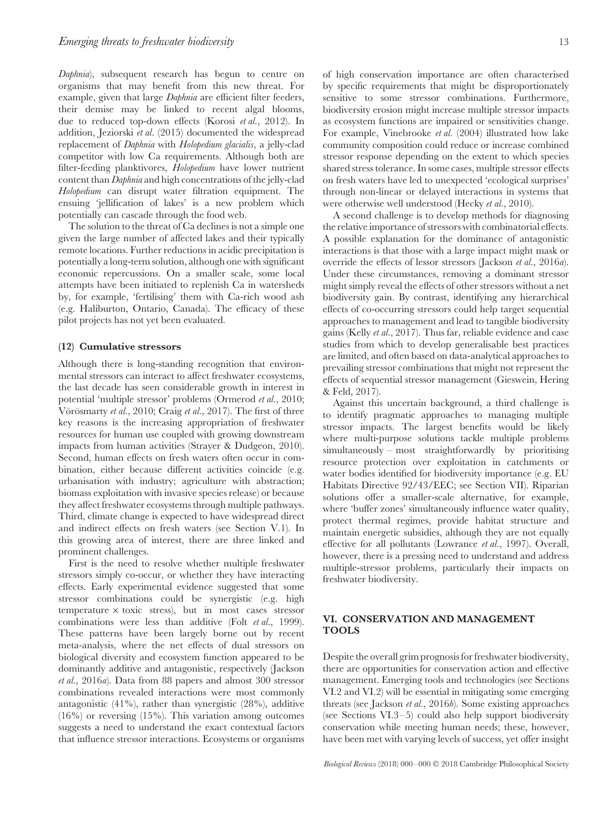*Daphnia*), subsequent research has begun to centre on organisms that may benefit from this new threat. For example, given that large *Daphnia* are efficient filter feeders, their demise may be linked to recent algal blooms, due to reduced top-down effects (Korosi *et al.*, 2012). In addition, Jeziorski *et al.* (2015) documented the widespread replacement of *Daphnia* with *Holopedium glacialis*, a jelly-clad competitor with low Ca requirements. Although both are filter-feeding planktivores, *Holopedium* have lower nutrient content than*Daphnia* and high concentrations of the jelly-clad *Holopedium* can disrupt water filtration equipment. The ensuing 'jellification of lakes' is a new problem which potentially can cascade through the food web.

The solution to the threat of Ca declines is not a simple one given the large number of affected lakes and their typically remote locations. Further reductions in acidic precipitation is potentially a long-term solution, although one with significant economic repercussions. On a smaller scale, some local attempts have been initiated to replenish Ca in watersheds by, for example, 'fertilising' them with Ca-rich wood ash (e.g. Haliburton, Ontario, Canada). The efficacy of these pilot projects has not yet been evaluated.

## **(12) Cumulative stressors**

Although there is long-standing recognition that environmental stressors can interact to affect freshwater ecosystems, the last decade has seen considerable growth in interest in potential 'multiple stressor' problems (Ormerod *et al.*, 2010; Vörösmarty *et al.*, 2010; Craig *et al.*, 2017). The first of three key reasons is the increasing appropriation of freshwater resources for human use coupled with growing downstream impacts from human activities (Strayer & Dudgeon, 2010). Second, human effects on fresh waters often occur in combination, either because different activities coincide (e.g. urbanisation with industry; agriculture with abstraction; biomass exploitation with invasive species release) or because they affect freshwater ecosystems through multiple pathways. Third, climate change is expected to have widespread direct and indirect effects on fresh waters (see Section V.1). In this growing area of interest, there are three linked and prominent challenges.

First is the need to resolve whether multiple freshwater stressors simply co-occur, or whether they have interacting effects. Early experimental evidence suggested that some stressor combinations could be synergistic (e.g. high temperature × toxic stress), but in most cases stressor combinations were less than additive (Folt *et al.*, 1999). These patterns have been largely borne out by recent meta-analysis, where the net effects of dual stressors on biological diversity and ecosystem function appeared to be dominantly additive and antagonistic, respectively (Jackson *et al.*, 2016*a*). Data from 88 papers and almost 300 stressor combinations revealed interactions were most commonly antagonistic (41%), rather than synergistic (28%), additive (16%) or reversing (15%). This variation among outcomes suggests a need to understand the exact contextual factors that influence stressor interactions. Ecosystems or organisms

of high conservation importance are often characterised by specific requirements that might be disproportionately sensitive to some stressor combinations. Furthermore, biodiversity erosion might increase multiple stressor impacts as ecosystem functions are impaired or sensitivities change. For example, Vinebrooke *et al.* (2004) illustrated how lake community composition could reduce or increase combined stressor response depending on the extent to which species shared stress tolerance. In some cases, multiple stressor effects on fresh waters have led to unexpected 'ecological surprises' through non-linear or delayed interactions in systems that were otherwise well understood (Hecky *et al.*, 2010).

A second challenge is to develop methods for diagnosing the relative importance of stressors with combinatorial effects. A possible explanation for the dominance of antagonistic interactions is that those with a large impact might mask or override the effects of lessor stressors (Jackson *et al.*, 2016*a*). Under these circumstances, removing a dominant stressor might simply reveal the effects of other stressors without a net biodiversity gain. By contrast, identifying any hierarchical effects of co-occurring stressors could help target sequential approaches to management and lead to tangible biodiversity gains (Kelly *et al.*, 2017). Thus far, reliable evidence and case studies from which to develop generalisable best practices are limited, and often based on data-analytical approaches to prevailing stressor combinations that might not represent the effects of sequential stressor management (Gieswein, Hering & Feld, 2017).

Against this uncertain background, a third challenge is to identify pragmatic approaches to managing multiple stressor impacts. The largest benefits would be likely where multi-purpose solutions tackle multiple problems simultaneously – most straightforwardly by prioritising resource protection over exploitation in catchments or water bodies identified for biodiversity importance (e.g. EU Habitats Directive 92/43/EEC; see Section VII). Riparian solutions offer a smaller-scale alternative, for example, where 'buffer zones' simultaneously influence water quality, protect thermal regimes, provide habitat structure and maintain energetic subsidies, although they are not equally effective for all pollutants (Lowrance *et al.*, 1997). Overall, however, there is a pressing need to understand and address multiple-stressor problems, particularly their impacts on freshwater biodiversity.

## **VI. CONSERVATION AND MANAGEMENT TOOLS**

Despite the overall grim prognosis for freshwater biodiversity, there are opportunities for conservation action and effective management. Emerging tools and technologies (see Sections VI.2 and VI.2) will be essential in mitigating some emerging threats (see Jackson *et al.*, 2016*b*). Some existing approaches (see Sections VI.3–5) could also help support biodiversity conservation while meeting human needs; these, however, have been met with varying levels of success, yet offer insight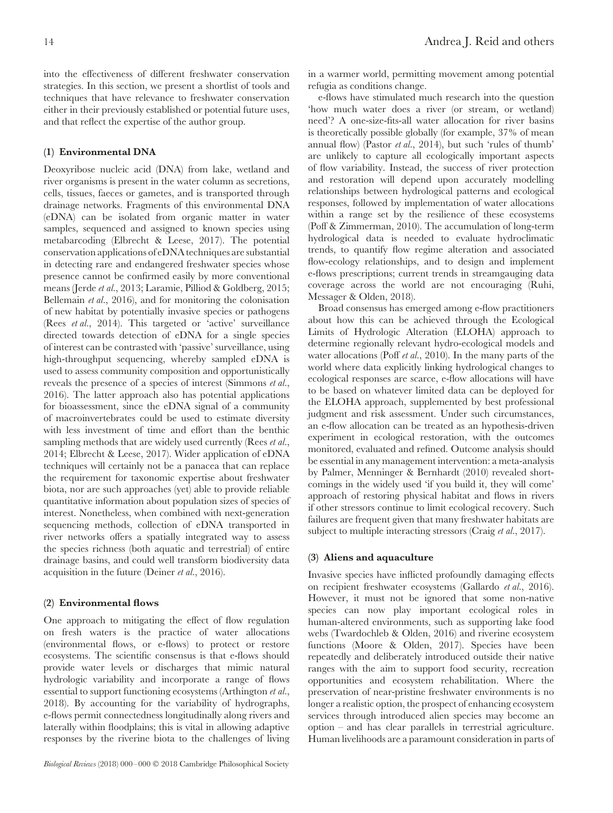into the effectiveness of different freshwater conservation strategies. In this section, we present a shortlist of tools and techniques that have relevance to freshwater conservation either in their previously established or potential future uses, and that reflect the expertise of the author group.

# **(1) Environmental DNA**

Deoxyribose nucleic acid (DNA) from lake, wetland and river organisms is present in the water column as secretions, cells, tissues, faeces or gametes, and is transported through drainage networks. Fragments of this environmental DNA (eDNA) can be isolated from organic matter in water samples, sequenced and assigned to known species using metabarcoding (Elbrecht & Leese, 2017). The potential conservation applications of eDNA techniques are substantial in detecting rare and endangered freshwater species whose presence cannot be confirmed easily by more conventional means (Jerde *et al.*, 2013; Laramie, Pilliod & Goldberg, 2015; Bellemain *et al.*, 2016), and for monitoring the colonisation of new habitat by potentially invasive species or pathogens (Rees *et al.*, 2014). This targeted or 'active' surveillance directed towards detection of eDNA for a single species of interest can be contrasted with 'passive' surveillance, using high-throughput sequencing, whereby sampled eDNA is used to assess community composition and opportunistically reveals the presence of a species of interest (Simmons *et al.*, 2016). The latter approach also has potential applications for bioassessment, since the eDNA signal of a community of macroinvertebrates could be used to estimate diversity with less investment of time and effort than the benthic sampling methods that are widely used currently (Rees *et al.*, 2014; Elbrecht & Leese, 2017). Wider application of eDNA techniques will certainly not be a panacea that can replace the requirement for taxonomic expertise about freshwater biota, nor are such approaches (yet) able to provide reliable quantitative information about population sizes of species of interest. Nonetheless, when combined with next-generation sequencing methods, collection of eDNA transported in river networks offers a spatially integrated way to assess the species richness (both aquatic and terrestrial) of entire drainage basins, and could well transform biodiversity data acquisition in the future (Deiner *et al.*, 2016).

## **(2) Environmental flows**

One approach to mitigating the effect of flow regulation on fresh waters is the practice of water allocations (environmental flows, or e-flows) to protect or restore ecosystems. The scientific consensus is that e-flows should provide water levels or discharges that mimic natural hydrologic variability and incorporate a range of flows essential to support functioning ecosystems (Arthington *et al.*, 2018). By accounting for the variability of hydrographs, e-flows permit connectedness longitudinally along rivers and laterally within floodplains; this is vital in allowing adaptive responses by the riverine biota to the challenges of living

in a warmer world, permitting movement among potential refugia as conditions change.

e-flows have stimulated much research into the question 'how much water does a river (or stream, or wetland) need'? A one-size-fits-all water allocation for river basins is theoretically possible globally (for example, 37% of mean annual flow) (Pastor *et al.*, 2014), but such 'rules of thumb' are unlikely to capture all ecologically important aspects of flow variability. Instead, the success of river protection and restoration will depend upon accurately modelling relationships between hydrological patterns and ecological responses, followed by implementation of water allocations within a range set by the resilience of these ecosystems (Poff & Zimmerman, 2010). The accumulation of long-term hydrological data is needed to evaluate hydroclimatic trends, to quantify flow regime alteration and associated flow-ecology relationships, and to design and implement e-flows prescriptions; current trends in streamgauging data coverage across the world are not encouraging (Ruhi, Messager & Olden, 2018).

Broad consensus has emerged among e-flow practitioners about how this can be achieved through the Ecological Limits of Hydrologic Alteration (ELOHA) approach to determine regionally relevant hydro-ecological models and water allocations (Poff *et al.*, 2010). In the many parts of the world where data explicitly linking hydrological changes to ecological responses are scarce, e-flow allocations will have to be based on whatever limited data can be deployed for the ELOHA approach, supplemented by best professional judgment and risk assessment. Under such circumstances, an e-flow allocation can be treated as an hypothesis-driven experiment in ecological restoration, with the outcomes monitored, evaluated and refined. Outcome analysis should be essential in any management intervention: a meta-analysis by Palmer, Menninger & Bernhardt (2010) revealed shortcomings in the widely used 'if you build it, they will come' approach of restoring physical habitat and flows in rivers if other stressors continue to limit ecological recovery. Such failures are frequent given that many freshwater habitats are subject to multiple interacting stressors (Craig *et al.*, 2017).

# **(3) Aliens and aquaculture**

Invasive species have inflicted profoundly damaging effects on recipient freshwater ecosystems (Gallardo *et al.*, 2016). However, it must not be ignored that some non-native species can now play important ecological roles in human-altered environments, such as supporting lake food webs (Twardochleb & Olden, 2016) and riverine ecosystem functions (Moore & Olden, 2017). Species have been repeatedly and deliberately introduced outside their native ranges with the aim to support food security, recreation opportunities and ecosystem rehabilitation. Where the preservation of near-pristine freshwater environments is no longer a realistic option, the prospect of enhancing ecosystem services through introduced alien species may become an option – and has clear parallels in terrestrial agriculture. Human livelihoods are a paramount consideration in parts of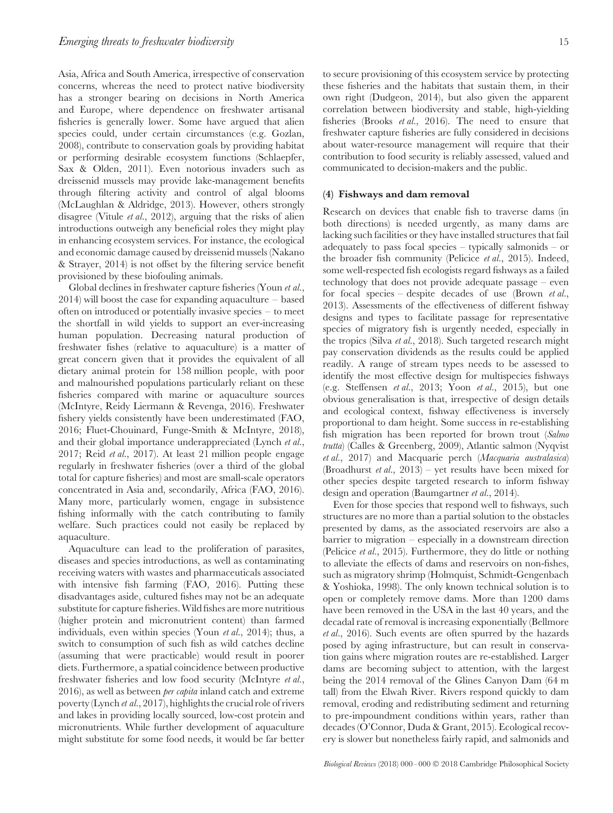Asia, Africa and South America, irrespective of conservation concerns, whereas the need to protect native biodiversity has a stronger bearing on decisions in North America and Europe, where dependence on freshwater artisanal fisheries is generally lower. Some have argued that alien species could, under certain circumstances (e.g. Gozlan, 2008), contribute to conservation goals by providing habitat or performing desirable ecosystem functions (Schlaepfer, Sax & Olden, 2011). Even notorious invaders such as dreissenid mussels may provide lake-management benefits through filtering activity and control of algal blooms (McLaughlan & Aldridge, 2013). However, others strongly disagree (Vitule *et al.*, 2012), arguing that the risks of alien introductions outweigh any beneficial roles they might play in enhancing ecosystem services. For instance, the ecological and economic damage caused by dreissenid mussels (Nakano & Strayer, 2014) is not offset by the filtering service benefit provisioned by these biofouling animals.

Global declines in freshwater capture fisheries (Youn *et al.*, 2014) will boost the case for expanding aquaculture – based often on introduced or potentially invasive species – to meet the shortfall in wild yields to support an ever-increasing human population. Decreasing natural production of freshwater fishes (relative to aquaculture) is a matter of great concern given that it provides the equivalent of all dietary animal protein for 158 million people, with poor and malnourished populations particularly reliant on these fisheries compared with marine or aquaculture sources (McIntyre, Reidy Liermann & Revenga, 2016). Freshwater fishery yields consistently have been underestimated (FAO, 2016; Fluet-Chouinard, Funge-Smith & McIntyre, 2018), and their global importance underappreciated (Lynch *et al.*, 2017; Reid *et al.*, 2017). At least 21 million people engage regularly in freshwater fisheries (over a third of the global total for capture fisheries) and most are small-scale operators concentrated in Asia and, secondarily, Africa (FAO, 2016). Many more, particularly women, engage in subsistence fishing informally with the catch contributing to family welfare. Such practices could not easily be replaced by aquaculture.

Aquaculture can lead to the proliferation of parasites, diseases and species introductions, as well as contaminating receiving waters with wastes and pharmaceuticals associated with intensive fish farming (FAO, 2016). Putting these disadvantages aside, cultured fishes may not be an adequate substitute for capture fisheries. Wild fishes are more nutritious (higher protein and micronutrient content) than farmed individuals, even within species (Youn *et al.*, 2014); thus, a switch to consumption of such fish as wild catches decline (assuming that were practicable) would result in poorer diets. Furthermore, a spatial coincidence between productive freshwater fisheries and low food security (McIntyre *et al.*, 2016), as well as between *per capita* inland catch and extreme poverty (Lynch *et al.*, 2017), highlights the crucial role of rivers and lakes in providing locally sourced, low-cost protein and micronutrients. While further development of aquaculture might substitute for some food needs, it would be far better to secure provisioning of this ecosystem service by protecting these fisheries and the habitats that sustain them, in their own right (Dudgeon, 2014), but also given the apparent correlation between biodiversity and stable, high-yielding fisheries (Brooks *et al.*, 2016). The need to ensure that freshwater capture fisheries are fully considered in decisions about water-resource management will require that their contribution to food security is reliably assessed, valued and communicated to decision-makers and the public.

#### **(4) Fishways and dam removal**

Research on devices that enable fish to traverse dams (in both directions) is needed urgently, as many dams are lacking such facilities or they have installed structures that fail adequately to pass focal species – typically salmonids – or the broader fish community (Pelicice *et al.*, 2015). Indeed, some well-respected fish ecologists regard fishways as a failed technology that does not provide adequate passage – even for focal species – despite decades of use (Brown *et al.*, 2013). Assessments of the effectiveness of different fishway designs and types to facilitate passage for representative species of migratory fish is urgently needed, especially in the tropics (Silva *et al.*, 2018). Such targeted research might pay conservation dividends as the results could be applied readily. A range of stream types needs to be assessed to identify the most effective design for multispecies fishways (e.g. Steffensen *et al.*, 2013; Yoon *et al.*, 2015), but one obvious generalisation is that, irrespective of design details and ecological context, fishway effectiveness is inversely proportional to dam height. Some success in re-establishing fish migration has been reported for brown trout (*Salmo trutta*) (Calles & Greenberg, 2009), Atlantic salmon (Nyqvist *et al.*, 2017) and Macquarie perch (*Macquaria australasica*) (Broadhurst *et al.*, 2013) – yet results have been mixed for other species despite targeted research to inform fishway design and operation (Baumgartner *et al.*, 2014).

Even for those species that respond well to fishways, such structures are no more than a partial solution to the obstacles presented by dams, as the associated reservoirs are also a barrier to migration – especially in a downstream direction (Pelicice *et al.*, 2015). Furthermore, they do little or nothing to alleviate the effects of dams and reservoirs on non-fishes, such as migratory shrimp (Holmquist, Schmidt-Gengenbach & Yoshioka, 1998). The only known technical solution is to open or completely remove dams. More than 1200 dams have been removed in the USA in the last 40 years, and the decadal rate of removal is increasing exponentially (Bellmore *et al.*, 2016). Such events are often spurred by the hazards posed by aging infrastructure, but can result in conservation gains where migration routes are re-established. Larger dams are becoming subject to attention, with the largest being the 2014 removal of the Glines Canyon Dam (64 m tall) from the Elwah River. Rivers respond quickly to dam removal, eroding and redistributing sediment and returning to pre-impoundment conditions within years, rather than decades (O'Connor, Duda & Grant, 2015). Ecological recovery is slower but nonetheless fairly rapid, and salmonids and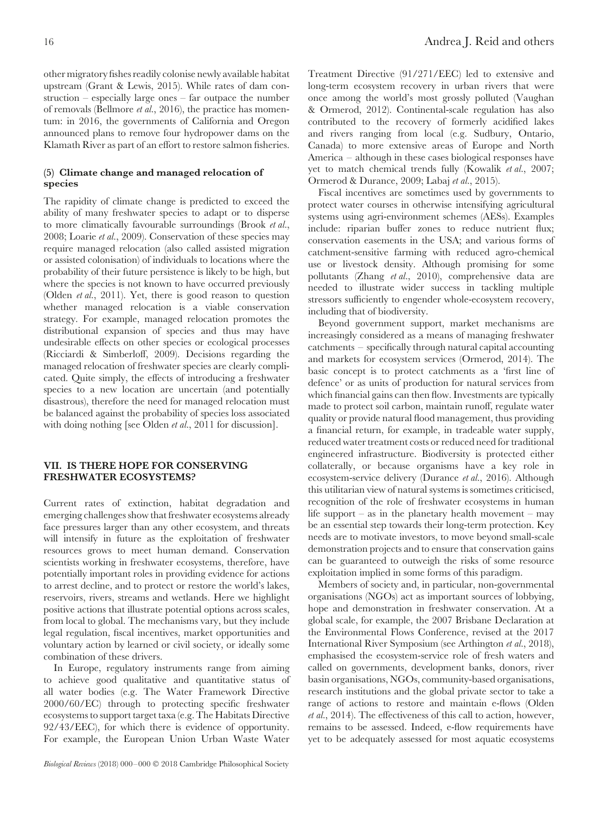other migratory fishes readily colonise newly available habitat upstream (Grant & Lewis, 2015). While rates of dam construction – especially large ones – far outpace the number of removals (Bellmore *et al.*, 2016), the practice has momentum: in 2016, the governments of California and Oregon announced plans to remove four hydropower dams on the Klamath River as part of an effort to restore salmon fisheries.

## **(5) Climate change and managed relocation of species**

The rapidity of climate change is predicted to exceed the ability of many freshwater species to adapt or to disperse to more climatically favourable surroundings (Brook *et al.*, 2008; Loarie *et al.*, 2009). Conservation of these species may require managed relocation (also called assisted migration or assisted colonisation) of individuals to locations where the probability of their future persistence is likely to be high, but where the species is not known to have occurred previously (Olden *et al.*, 2011). Yet, there is good reason to question whether managed relocation is a viable conservation strategy. For example, managed relocation promotes the distributional expansion of species and thus may have undesirable effects on other species or ecological processes (Ricciardi & Simberloff, 2009). Decisions regarding the managed relocation of freshwater species are clearly complicated. Quite simply, the effects of introducing a freshwater species to a new location are uncertain (and potentially disastrous), therefore the need for managed relocation must be balanced against the probability of species loss associated with doing nothing [see Olden *et al.*, 2011 for discussion].

## **VII. IS THERE HOPE FOR CONSERVING FRESHWATER ECOSYSTEMS?**

Current rates of extinction, habitat degradation and emerging challenges show that freshwater ecosystems already face pressures larger than any other ecosystem, and threats will intensify in future as the exploitation of freshwater resources grows to meet human demand. Conservation scientists working in freshwater ecosystems, therefore, have potentially important roles in providing evidence for actions to arrest decline, and to protect or restore the world's lakes, reservoirs, rivers, streams and wetlands. Here we highlight positive actions that illustrate potential options across scales, from local to global. The mechanisms vary, but they include legal regulation, fiscal incentives, market opportunities and voluntary action by learned or civil society, or ideally some combination of these drivers.

In Europe, regulatory instruments range from aiming to achieve good qualitative and quantitative status of all water bodies (e.g. The Water Framework Directive 2000/60/EC) through to protecting specific freshwater ecosystems to support target taxa (e.g. The Habitats Directive 92/43/EEC), for which there is evidence of opportunity. For example, the European Union Urban Waste Water

Treatment Directive (91/271/EEC) led to extensive and long-term ecosystem recovery in urban rivers that were once among the world's most grossly polluted (Vaughan & Ormerod, 2012). Continental-scale regulation has also contributed to the recovery of formerly acidified lakes and rivers ranging from local (e.g. Sudbury, Ontario, Canada) to more extensive areas of Europe and North America – although in these cases biological responses have yet to match chemical trends fully (Kowalik *et al.*, 2007; Ormerod & Durance, 2009; Labaj *et al.*, 2015).

Fiscal incentives are sometimes used by governments to protect water courses in otherwise intensifying agricultural systems using agri-environment schemes (AESs). Examples include: riparian buffer zones to reduce nutrient flux; conservation easements in the USA; and various forms of catchment-sensitive farming with reduced agro-chemical use or livestock density. Although promising for some pollutants (Zhang *et al.*, 2010), comprehensive data are needed to illustrate wider success in tackling multiple stressors sufficiently to engender whole-ecosystem recovery, including that of biodiversity.

Beyond government support, market mechanisms are increasingly considered as a means of managing freshwater catchments – specifically through natural capital accounting and markets for ecosystem services (Ormerod, 2014). The basic concept is to protect catchments as a 'first line of defence' or as units of production for natural services from which financial gains can then flow. Investments are typically made to protect soil carbon, maintain runoff, regulate water quality or provide natural flood management, thus providing a financial return, for example, in tradeable water supply, reduced water treatment costs or reduced need for traditional engineered infrastructure. Biodiversity is protected either collaterally, or because organisms have a key role in ecosystem-service delivery (Durance *et al.*, 2016). Although this utilitarian view of natural systems is sometimes criticised, recognition of the role of freshwater ecosystems in human life support – as in the planetary health movement – may be an essential step towards their long-term protection. Key needs are to motivate investors, to move beyond small-scale demonstration projects and to ensure that conservation gains can be guaranteed to outweigh the risks of some resource exploitation implied in some forms of this paradigm.

Members of society and, in particular, non-governmental organisations (NGOs) act as important sources of lobbying, hope and demonstration in freshwater conservation. At a global scale, for example, the 2007 Brisbane Declaration at the Environmental Flows Conference, revised at the 2017 International River Symposium (see Arthington *et al.*, 2018), emphasised the ecosystem-service role of fresh waters and called on governments, development banks, donors, river basin organisations, NGOs, community-based organisations, research institutions and the global private sector to take a range of actions to restore and maintain e-flows (Olden *et al.*, 2014). The effectiveness of this call to action, however, remains to be assessed. Indeed, e-flow requirements have yet to be adequately assessed for most aquatic ecosystems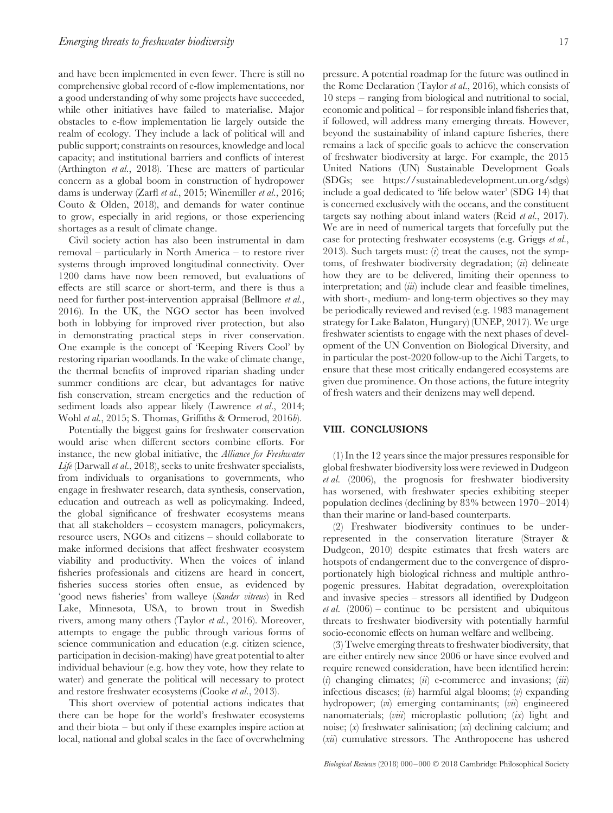and have been implemented in even fewer. There is still no comprehensive global record of e-flow implementations, nor a good understanding of why some projects have succeeded, while other initiatives have failed to materialise. Major obstacles to e-flow implementation lie largely outside the realm of ecology. They include a lack of political will and public support; constraints on resources, knowledge and local capacity; and institutional barriers and conflicts of interest (Arthington *et al.*, 2018). These are matters of particular concern as a global boom in construction of hydropower dams is underway (Zarfl *et al.*, 2015; Winemiller *et al.*, 2016; Couto & Olden, 2018), and demands for water continue to grow, especially in arid regions, or those experiencing shortages as a result of climate change.

Civil society action has also been instrumental in dam removal – particularly in North America – to restore river systems through improved longitudinal connectivity. Over 1200 dams have now been removed, but evaluations of effects are still scarce or short-term, and there is thus a need for further post-intervention appraisal (Bellmore *et al.*, 2016). In the UK, the NGO sector has been involved both in lobbying for improved river protection, but also in demonstrating practical steps in river conservation. One example is the concept of 'Keeping Rivers Cool' by restoring riparian woodlands. In the wake of climate change, the thermal benefits of improved riparian shading under summer conditions are clear, but advantages for native fish conservation, stream energetics and the reduction of sediment loads also appear likely (Lawrence *et al.*, 2014; Wohl *et al.*, 2015; S. Thomas, Griffiths & Ormerod, 2016*b*).

Potentially the biggest gains for freshwater conservation would arise when different sectors combine efforts. For instance, the new global initiative, the *Alliance for Freshwater Life* (Darwall *et al.*, 2018), seeks to unite freshwater specialists, from individuals to organisations to governments, who engage in freshwater research, data synthesis, conservation, education and outreach as well as policymaking. Indeed, the global significance of freshwater ecosystems means that all stakeholders – ecosystem managers, policymakers, resource users, NGOs and citizens – should collaborate to make informed decisions that affect freshwater ecosystem viability and productivity. When the voices of inland fisheries professionals and citizens are heard in concert, fisheries success stories often ensue, as evidenced by 'good news fisheries' from walleye (*Sander vitreus*) in Red Lake, Minnesota, USA, to brown trout in Swedish rivers, among many others (Taylor *et al.*, 2016). Moreover, attempts to engage the public through various forms of science communication and education (e.g. citizen science, participation in decision-making) have great potential to alter individual behaviour (e.g. how they vote, how they relate to water) and generate the political will necessary to protect and restore freshwater ecosystems (Cooke *et al.*, 2013).

This short overview of potential actions indicates that there can be hope for the world's freshwater ecosystems and their biota – but only if these examples inspire action at local, national and global scales in the face of overwhelming pressure. A potential roadmap for the future was outlined in the Rome Declaration (Taylor *et al.*, 2016), which consists of 10 steps – ranging from biological and nutritional to social, economic and political – for responsible inland fisheries that, if followed, will address many emerging threats. However, beyond the sustainability of inland capture fisheries, there remains a lack of specific goals to achieve the conservation of freshwater biodiversity at large. For example, the 2015 United Nations (UN) Sustainable Development Goals (SDGs; see https://sustainabledevelopment.un.org/sdgs) include a goal dedicated to 'life below water' (SDG 14) that is concerned exclusively with the oceans, and the constituent targets say nothing about inland waters (Reid *et al.*, 2017). We are in need of numerical targets that forcefully put the case for protecting freshwater ecosystems (e.g. Griggs *et al.*, 2013). Such targets must: (*i*) treat the causes, not the symptoms, of freshwater biodiversity degradation; (*ii*) delineate how they are to be delivered, limiting their openness to interpretation; and (*iii*) include clear and feasible timelines, with short-, medium- and long-term objectives so they may be periodically reviewed and revised (e.g. 1983 management strategy for Lake Balaton, Hungary) (UNEP, 2017). We urge freshwater scientists to engage with the next phases of development of the UN Convention on Biological Diversity, and in particular the post-2020 follow-up to the Aichi Targets, to ensure that these most critically endangered ecosystems are given due prominence. On those actions, the future integrity of fresh waters and their denizens may well depend.

## **VIII. CONCLUSIONS**

(1) In the 12 years since the major pressures responsible for global freshwater biodiversity loss were reviewed in Dudgeon *et al.* (2006), the prognosis for freshwater biodiversity has worsened, with freshwater species exhibiting steeper population declines (declining by 83% between 1970–2014) than their marine or land-based counterparts.

(2) Freshwater biodiversity continues to be underrepresented in the conservation literature (Strayer & Dudgeon, 2010) despite estimates that fresh waters are hotspots of endangerment due to the convergence of disproportionately high biological richness and multiple anthropogenic pressures. Habitat degradation, overexploitation and invasive species – stressors all identified by Dudgeon *et al.* (2006) – continue to be persistent and ubiquitous threats to freshwater biodiversity with potentially harmful socio-economic effects on human welfare and wellbeing.

(3) Twelve emerging threats to freshwater biodiversity, that are either entirely new since 2006 or have since evolved and require renewed consideration, have been identified herein: (*i*) changing climates; (*ii*) e-commerce and invasions; (*iii*) infectious diseases; (*iv*) harmful algal blooms; (*v*) expanding hydropower; (*vi*) emerging contaminants; (*vii*) engineered nanomaterials; (*viii*) microplastic pollution; (*ix*) light and noise; (*x*) freshwater salinisation; (*xi*) declining calcium; and (*xii*) cumulative stressors. The Anthropocene has ushered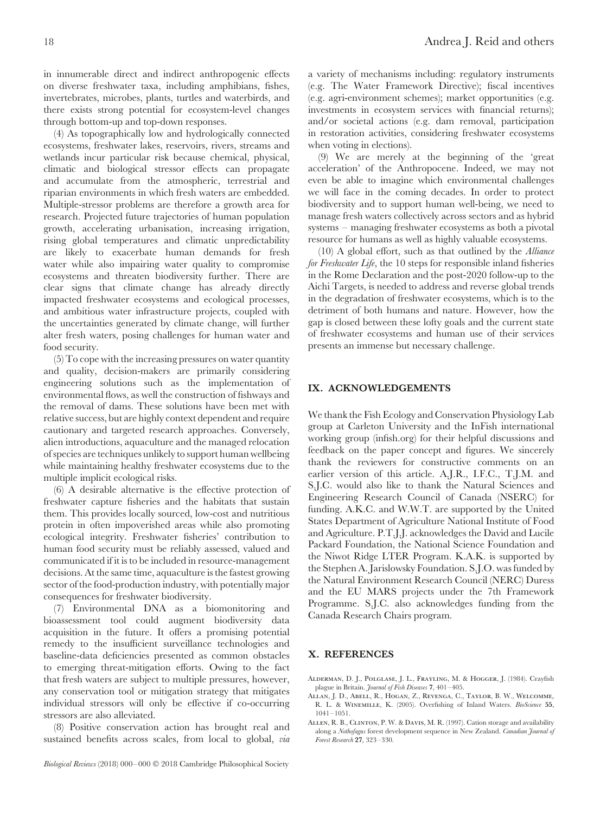in innumerable direct and indirect anthropogenic effects on diverse freshwater taxa, including amphibians, fishes, invertebrates, microbes, plants, turtles and waterbirds, and there exists strong potential for ecosystem-level changes through bottom-up and top-down responses.

(4) As topographically low and hydrologically connected ecosystems, freshwater lakes, reservoirs, rivers, streams and wetlands incur particular risk because chemical, physical, climatic and biological stressor effects can propagate and accumulate from the atmospheric, terrestrial and riparian environments in which fresh waters are embedded. Multiple-stressor problems are therefore a growth area for research. Projected future trajectories of human population growth, accelerating urbanisation, increasing irrigation, rising global temperatures and climatic unpredictability are likely to exacerbate human demands for fresh water while also impairing water quality to compromise ecosystems and threaten biodiversity further. There are clear signs that climate change has already directly impacted freshwater ecosystems and ecological processes, and ambitious water infrastructure projects, coupled with the uncertainties generated by climate change, will further alter fresh waters, posing challenges for human water and food security.

(5) To cope with the increasing pressures on water quantity and quality, decision-makers are primarily considering engineering solutions such as the implementation of environmental flows, as well the construction of fishways and the removal of dams. These solutions have been met with relative success, but are highly context dependent and require cautionary and targeted research approaches. Conversely, alien introductions, aquaculture and the managed relocation of species are techniques unlikely to support human wellbeing while maintaining healthy freshwater ecosystems due to the multiple implicit ecological risks.

(6) A desirable alternative is the effective protection of freshwater capture fisheries and the habitats that sustain them. This provides locally sourced, low-cost and nutritious protein in often impoverished areas while also promoting ecological integrity. Freshwater fisheries' contribution to human food security must be reliably assessed, valued and communicated if it is to be included in resource-management decisions. At the same time, aquaculture is the fastest growing sector of the food-production industry, with potentially major consequences for freshwater biodiversity.

(7) Environmental DNA as a biomonitoring and bioassessment tool could augment biodiversity data acquisition in the future. It offers a promising potential remedy to the insufficient surveillance technologies and baseline-data deficiencies presented as common obstacles to emerging threat-mitigation efforts. Owing to the fact that fresh waters are subject to multiple pressures, however, any conservation tool or mitigation strategy that mitigates individual stressors will only be effective if co-occurring stressors are also alleviated.

(8) Positive conservation action has brought real and sustained benefits across scales, from local to global, *via* a variety of mechanisms including: regulatory instruments (e.g. The Water Framework Directive); fiscal incentives (e.g. agri-environment schemes); market opportunities (e.g. investments in ecosystem services with financial returns); and/or societal actions (e.g. dam removal, participation in restoration activities, considering freshwater ecosystems when voting in elections).

(9) We are merely at the beginning of the 'great acceleration' of the Anthropocene. Indeed, we may not even be able to imagine which environmental challenges we will face in the coming decades. In order to protect biodiversity and to support human well-being, we need to manage fresh waters collectively across sectors and as hybrid systems – managing freshwater ecosystems as both a pivotal resource for humans as well as highly valuable ecosystems.

(10) A global effort, such as that outlined by the *Alliance for Freshwater Life*, the 10 steps for responsible inland fisheries in the Rome Declaration and the post-2020 follow-up to the Aichi Targets, is needed to address and reverse global trends in the degradation of freshwater ecosystems, which is to the detriment of both humans and nature. However, how the gap is closed between these lofty goals and the current state of freshwater ecosystems and human use of their services presents an immense but necessary challenge.

#### **IX. ACKNOWLEDGEMENTS**

We thank the Fish Ecology and Conservation Physiology Lab group at Carleton University and the InFish international working group (infish.org) for their helpful discussions and feedback on the paper concept and figures. We sincerely thank the reviewers for constructive comments on an earlier version of this article. A.J.R., I.F.C., T.J.M. and S.J.C. would also like to thank the Natural Sciences and Engineering Research Council of Canada (NSERC) for funding. A.K.C. and W.W.T. are supported by the United States Department of Agriculture National Institute of Food and Agriculture. P.T.J.J. acknowledges the David and Lucile Packard Foundation, the National Science Foundation and the Niwot Ridge LTER Program. K.A.K. is supported by the Stephen A. Jarislowsky Foundation. S.J.O. was funded by the Natural Environment Research Council (NERC) Duress and the EU MARS projects under the 7th Framework Programme. S.J.C. also acknowledges funding from the Canada Research Chairs program.

#### **X. REFERENCES**

- Alderman, D. J., Polglase, J. L., Frayling, M. & Hogger, J. (1984). Crayfish plague in Britain. *Journal of Fish Diseases* **7**, 401–405.
- Allan, J. D., Abell, R., Hogan, Z., Revenga, C., Taylor, B. W., Welcomme, R. L. & Winemille, K. (2005). Overfishing of Inland Waters. *BioScience* **55**, 1041–1051.
- Allen, R. B., Clinton, P. W. & Davis, M. R. (1997). Cation storage and availability along a *Nothofagus* forest development sequence in New Zealand. *Canadian Journal of Forest Research* **27**, 323–330.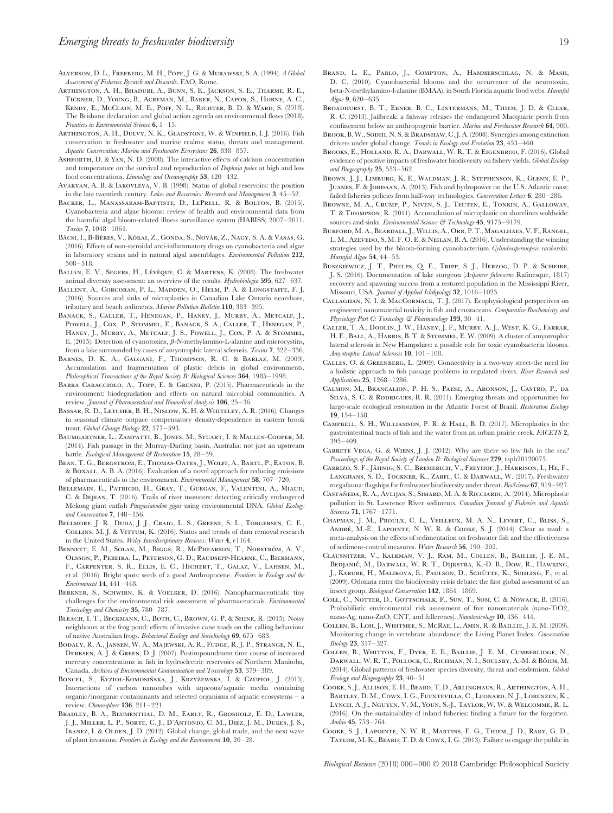- Alverson, D. L., Freeberg, M. H., Pope, J. G. & Murawski, S. A. (1994). *A Global Assessment of Fisheries Bycatch and Discards*. FAO, Rome.
- Arthington, A. H., Bhaduri, A., Bunn, S. E., Jackson, S. E., Tharme, R. E., Tickner, D., Young, B., Acreman, M., Baker, N., Capon, S., Horne, A. C., Kendy, E., McClain, M. E., Poff, N. L., Richter, B. D. & Ward, S. (2018). The Brisbane declaration and global action agenda on environmental flows (2018). *Frontiers in Environmental Science* **6**, 1–15.
- ARTHINGTON, A. H., DULVY, N. K., GLADSTONE, W. & WINFIELD, I. J. (2016). Fish conservation in freshwater and marine realms: status, threats and management. *Aquatic Conservation: Marine and Freshwater Ecosystems* **26**, 838–857.
- Ashforth, D. & Yan, N. D. (2008). The interactive effects of calcium concentration and temperature on the survival and reproduction of *Daphnia pulex* at high and low food concentrations. *Limnology and Oceanography* **53**, 420–432.
- Avakyan, A. B. & Iakovleva, V. B. (1998). Status of global reservoirs: the position in the late twentieth century. *Lakes and Reservoirs: Research and Management* **3**, 45–52.
- Backer, L., Manassaram-Baptiste, D., LePrell, R. & Bolton, B. (2015). Cyanobacteria and algae blooms: review of health and environmental data from the harmful algal bloom-related illness surveillance system (HABISS) 2007–2011. *Toxins* **7**, 1048–1064.
- BÁCSI, I., B-BÉRES, V., KÓKAI, Z., GONDA, S., NOVÁK, Z., NAGY, S. A. & VASAS, G. (2016). Effects of non-steroidal anti-inflammatory drugs on cyanobacteria and algae in laboratory strains and in natural algal assemblages. *Environmental Pollution* **212**, 508–518.
- BALIAN, E. V., SEGERS, H., LÉVÈQUE, C. & MARTENS, K. (2008). The freshwater animal diversity assessment: an overview of the results. *Hydrobiologia* **595**, 627–637.
- Ballent, A., Corcoran, P. L., Madden, O., Helm, P. A. & Longstaffe, F. J. (2016). Sources and sinks of microplastics in Canadian Lake Ontario nearshore, tributary and beach sediments. *Marine Pollution Bulletin* **110**, 383–395.
- BANACK, S., CALLER, T., HENEGAN, P., HANEY, J., MURBY, A., METCALF, J., POWELL, J., COX, P., STOMMEL, E., BANACK, S. A., CALLER, T., HENEGAN, P., HANEY, J., MURBY, A., METCALF, J. S., POWELL, J., COX, P. A. & STOMMEL, E. (2015). Detection of cyanotoxins, *β*-N-methylamino-L-alanine and microcystins, from a lake surrounded by cases of amyotrophic lateral sclerosis. *Toxins* **7**, 322–336.
- Barnes, D. K. A., Galgani, F., Thompson, R. C. & Barlaz, M. (2009). Accumulation and fragmentation of plastic debris in global environments. *Philosophical Transactions of the Royal Society B: Biological Sciences* **364**, 1985–1998.
- BARRA CARACCIOLO, A., TOPP, E. & GRENNI, P. (2015). Pharmaceuticals in the environment: biodegradation and effects on natural microbial communities. A review. *Journal of Pharmaceutical and Biomedical Analysis* **106**, 25–36.
- Bassar, R. D., Letcher, B. H., Nislow, K. H. & Whiteley, A. R. (2016). Changes in seasonal climate outpace compensatory density-dependence in eastern brook trout. *Global Change Biology* **22**, 577–593.
- Baumgartner, L., Zampatti, B., Jones, M., Stuart, I. & Mallen-Cooper, M. (2014). Fish passage in the Murray-Darling basin, Australia: not just an upstream battle. *Ecological Management & Restoration* **15**, 28–39.
- BEAN, T. G., BERGSTROM, E., THOMAS-OATES, J., WOLFF, A., BARTL, P., EATON, B. & Boxall, A. B. A. (2016). Evaluation of a novel approach for reducing emissions of pharmaceuticals to the environment. *Environmental Management* **58**, 707–720.
- Bellemain, E., Patricio, H., Gray, T., Guegan, F., Valentini, A., Miaud, C. & Dejean, T. (2016). Trails of river monsters: detecting critically endangered Mekong giant catfish *Pangasianodon gigas* using environmental DNA. *Global Ecology and Conservation* **7**, 148–156.
- BELLMORE, J. R., DUDA, J. J., CRAIG, L. S., GREENE, S. L., TORGERSEN, C. E., COLLINS, M. J. & VITTUM, K. (2016). Status and trends of dam removal research in the United States. *Wiley Interdisciplinary Reviews: Water* **4**, e1164.
- BENNETT, E. M., SOLAN, M., BIGGS, R., MCPHEARSON, T., NORSTRÖM, A. V., Olsson, P., Pereira, L., Peterson, G. D., Raudsepp-Hearne, C., Biermann, F., Carpenter, S. R., Ellis, E. C., Hichert, T., Galaz, V., Lahsen, M., et al. (2016). Bright spots: seeds of a good Anthropocene. *Frontiers in Ecology and the Environment* **14**, 441–448.
- Berkner, S., Schwirn, K. & Voelker, D. (2016). Nanopharmaceuticals: tiny challenges for the environmental risk assessment of pharmaceuticals. *Environmental Toxicology and Chemistry* **35**, 780–787.
- BLEACH, I. T., BECKMANN, C., BOTH, C., BROWN, G. P. & SHINE, R. (2015). Noisy neighbours at the frog pond: effects of invasive cane toads on the calling behaviour of native Australian frogs. *Behavioral Ecology and Sociobiology* **69**, 675–683.
- Bodaly, R. A., Jansen, W. A., Majewski, A. R., Fudge, R. J. P., Strange, N. E., Derksen, A. J. & Green, D. J. (2007). Postimpoundment time course of increased mercury concentrations in fish in hydroelectric reservoirs of Northern Manitoba, Canada. *Archives of Environmental Contamination and Toxicology* **53**, 379–389.
- BONCEL, S., KYZIOŁ-KOMOSIŃSKA, J., KRZYŻEWSKA, I. & CZUPIOŁ, J. (2015). Interactions of carbon nanotubes with aqueous/aquatic media containing organic/inorganic contaminants and selected organisms of aquatic ecosystems – a review. *Chemosphere* **136**, 211–221.
- Bradley, B. A., Blumenthal, D. M., Early, R., Grosholz, E. D., Lawler, J. J., Miller, L. P., Sorte, C. J., D'Antonio, C. M., Diez, J. M., Dukes, J. S., IBANEZ, I. & OLDEN, J. D. (2012). Global change, global trade, and the next wave of plant invasions. *Frontiers in Ecology and the Environment* **10**, 20–28.
- Brand, L. E., Pablo, J., Compton, A., Hammerschlag, N. & Mash, D. C. (2010). Cyanobacterial blooms and the occurrence of the neurotoxin. beta-N-methylamino-l-alanine (BMAA), in South Florida aquatic food webs. *Harmful Algae* **9**, 620–635.
- Broadhurst, B. T., Ebner, B. C., Lintermans, M., Thiem, J. D. & Clear, R. C. (2013). Jailbreak: a fishway releases the endangered Macquarie perch from confinement below an anthropogenic barrier. *Marine and Freshwater Research* **64**, 900.
- BROOK, B. W., SODHI, N. S. & BRADSHAW, C. J. A. (2008). Synergies among extinction drivers under global change. *Trends in Ecology and Evolution* **23**, 453–460.
- Brooks, E., Holland, R. A., Darwall, W. R. T. & Eigenbrod, F. (2016). Global evidence of positive impacts of freshwater biodiversity on fishery yields. *Global Ecology and Biogeography* **25**, 553–562.
- Brown, J. J., Limburg, K. E., Waldman, J. R., Stephenson, K., Glenn, E. P., Juanes, F. & Jordaan, A. (2013). Fish and hydropower on the U.S. Atlantic coast: failed fisheries policies from half-way technologies. *Conservation Letters* **6**, 280–286.
- Browne, M. A., Crump, P., Niven, S. J., Teuten, E., Tonkin, A., Galloway, T. & Thompson, R. (2011). Accumulation of microplastic on shorelines woldwide: sources and sinks. *Environmental Science & Technology* **45**, 9175–9179.
- BURFORD, M. A., BEARDALL, J., WILLIS, A., ORR, P. T., MAGALHAES, V. F., RANGEL, L. M., Azevedo, S. M. F. O. E. & Neilan, B. A. (2016). Understanding the winning strategies used by the bloom-forming cyanobacterium *Cylindrospermopsis raciborskii*. *Harmful Algae* **54**, 44–53.
- Buszkiewicz, J. T., Phelps, Q. E., Tripp, S. J., Herzog, D. P. & Scheibe, J. S. (2016). Documentation of lake sturgeon (*Acipenser fulvescens* Rafinesque, 1817) recovery and spawning success from a restored population in the Mississippi River, Missouri, USA. *Journal of Applied Ichthyology* **32**, 1016–1025.
- CALLAGHAN, N. I. & MACCORMACK, T. J. (2017). Ecophysiological perspectives on engineered nanomaterial toxicity in fish and crustaceans. *Comparative Biochemistry and Physiology Part C: Toxicology & Pharmacology* **193**, 30–41.
- Caller, T. A., Doolin, J. W., Haney, J. F., Murby, A. J., West, K. G., Farrar, H. E., Ball, A., Harris, B. T. & Stommel, E. W. (2009). A cluster of amyotrophic lateral sclerosis in New Hampshire: a possible role for toxic cyanobacteria blooms. *Amyotrophic Lateral Sclerosis* **10**, 101–108.
- Calles, O. & Greenberg, L. (2009). Connectivity is a two-way street-the need for a holistic approach to fish passage problems in regulated rivers. *River Research and Applications* **25**, 1268–1286.
- Calmon, M., Brancalion, P. H. S., Paese, A., Aronson, J., Castro, P., da Silva, S. C. & Rodrigues, R. R. (2011). Emerging threats and opportunities for large-scale ecological restoration in the Atlantic Forest of Brazil. *Restoration Ecology* **19**, 154–158.
- Campbell, S. H., Williamson, P. R. & Hall, B. D. (2017). Microplastics in the gastrointestinal tracts of fish and the water from an urban prairie creek. *FACETS* **2**, 395–409.
- CARRETE VEGA, G. & WIENS, J. J. (2012). Why are there so few fish in the sea? *Proceedings of the Royal Society of London B: Biological Sciences* **279**, rspb20120075.
- CARRIZO, S. F., JÄHNIG, S. C., BREMERICH, V., FREYHOF, J., HARRISON, I., HE, F., Langhans, S. D., Tockner, K., Zarfl, C. & Darwall, W. (2017). Freshwater megafauna: flagships for freshwater biodiversity under threat. *BioScience* **67**, 919–927.
- CASTAÑEDA, R. A., AVLIJAS, S., SIMARD, M. A. & RICCIARDI, A. (2014). Microplastic pollution in St. Lawrence River sediments. *Canadian Journal of Fisheries and Aquatic Sciences* **71**, 1767–1771.
- Chapman, J. M., Proulx, C. L., Veilleux, M. A. N., Levert, C., Bliss, S., ANDRÉ, M.-È., LAPOINTE, N. W. R. & COOKE, S. J. (2014). Clear as mud: a meta-analysis on the effects of sedimentation on freshwater fish and the effectiveness of sediment-control measures. *Water Research* **56**, 190–202.
- Clausnitzer, V., Kalkman, V. J., Ram, M., Collen, B., Baillie, J. E. M., Bedjanič, M., Darwall, W. R. T., Dijkstra, K.-D. B., Dow, R., Hawking, J., KARUBE, H., MALIKOVA, E., PAULSON, D., SCHÜTTE, K., SUHLING, F., et al. (2009). Odonata enter the biodiversity crisis debate: the first global assessment of an insect group. *Biological Conservation* **142**, 1864–1869.
- Coll, C., Notter, D., Gottschalk, F., Sun, T., Som, C. & Nowack, B. (2016). Probabilistic environmental risk assessment of five nanomaterials (nano-TiO2, nano-Ag, nano-ZnO, CNT, and fullerenes). *Nanotoxicology* **10**, 436–444.
- Collen, B., Loh, J., Whitmee, S., McRae, L., Amin, R. & Baillie, J. E. M. (2009). Monitoring change in vertebrate abundance: the Living Planet Index. *Conservation Biology* **23**, 317–327.
- Collen, B., Whitton, F., Dyer, E. E., Baillie, J. E. M., Cumberlidge, N., DARWALL, W. R. T., POLLOCK, C., RICHMAN, N. I., SOULSBY, A.-M. & BÖHM, M. (2014). Global patterns of freshwater species diversity, threat and endemism. *Global Ecology and Biogeography* **23**, 40–51.
- Cooke, S. J., Allison, E. H., Beard, T. D., Arlinghaus, R., Arthington, A. H., Bartley, D. M., Cowx, I. G., Fuentevilla, C., Leonard, N. J., Lorenzen, K., Lynch, A. J., Nguyen, V. M., Youn, S.-J., Taylor, W. W. & Welcomme, R. L. (2016). On the sustainability of inland fisheries: finding a future for the forgotten. *Ambio* **45**, 753–764.
- Cooke, S. J., Lapointe, N. W. R., Martins, E. G., Thiem, J. D., Raby, G. D., Taylor, M. K., Beard, T. D. & Cowx, I. G. (2013). Failure to engage the public in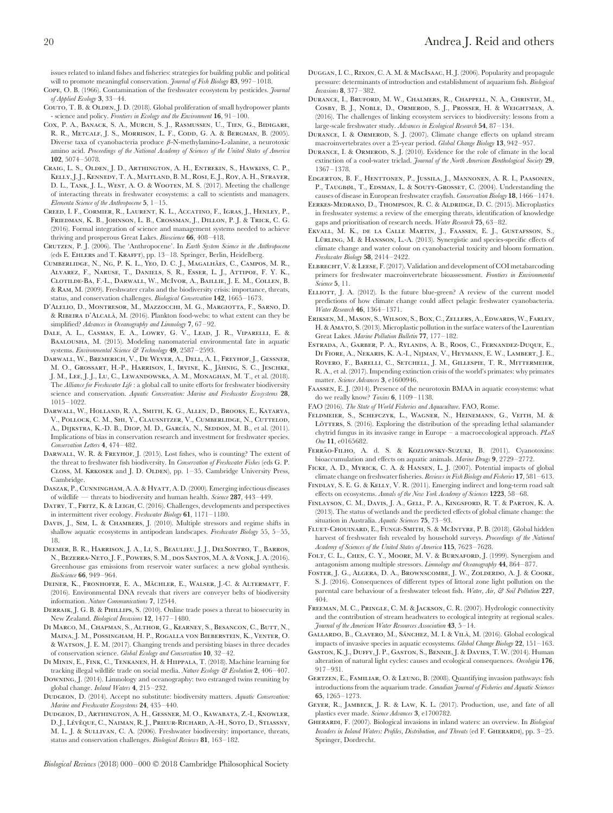issues related to inland fishes and fisheries: strategies for building public and political will to promote meaningful conservation. *Journal of Fish Biology* **83**, 997–1018.

- Cope, O. B. (1966). Contamination of the freshwater ecosystem by pesticides. *Journal of Applied Ecology* **3**, 33–44.
- Couto, T. B. & OLDEN, J. D. (2018). Global proliferation of small hydropower plants - science and policy. *Frontiers in Ecology and the Environment* **16**, 91–100.
- Cox, P. A., Banack, S. A., Murch, S. J., Rasmussen, U., Tien, G., Bidigare, R. R., METCALF, J. S., MORRISON, L. F., CODD, G. A. & BERGMAN, B. (2005). Diverse taxa of cyanobacteria produce *β*-N-methylamino-L-alanine, a neurotoxic amino acid. *Proceedings of the National Academy of Sciences of the United States of America* **102**, 5074–5078.
- Craig, L. S., Olden, J. D., Arthington, A. H., Entrekin, S., Hawkins, C. P., Kelly, J. J., Kennedy, T. A., Maitland, B. M., Rosi, E. J., Roy, A. H., Strayer, D. L., Tank, J. L., West, A. O. & Wooten, M. S. (2017). Meeting the challenge of interacting threats in freshwater ecosystems: a call to scientists and managers. *Elementa Science of the Anthropocene* **5**, 1–15.
- Creed, I. F., Cormier, R., Laurent, K. L., Accatino, F., Igras, J., Henley, P., Friedman, K. B., Johnson, L. B., Crossman, J., Dillon, P. J. & Trick, C. G. (2016). Formal integration of science and management systems needed to achieve thriving and prosperous Great Lakes. *Bioscience* **66**, 408–418.
- Crutzen, P. J. (2006). The 'Anthropocene'. In *Earth System Science in the Anthropocene* (eds E. Ehlers and T. Krafft), pp. 13–18. Springer, Berlin, Heidelberg.
- CUMBERLIDGE, N., NG, P. K. L., YEO, D. C. J., MAGALHÃES, C., CAMPOS, M. R., Alvarez, F., Naruse, T., Daniels, S. R., Esser, L. J., Attipoe, F. Y. K., Clotilde-Ba, F.-L., Darwall, W., McIvor, A., Baillie, J. E. M., Collen, B. & Ram, M. (2009). Freshwater crabs and the biodiversity crisis: importance, threats, status, and conservation challenges. *Biological Conservation* **142**, 1665–1673.
- D'Alelio, D., Montresor, M., Mazzocchi, M. G., Margiotta, F., Sarno, D. & Ribeira d'Alcala`, M. (2016). Plankton food-webs: to what extent can they be simplified? *Advances in Oceanography and Limnology* **7**, 67–92.
- Dale, A. L., Casman, E. A., Lowry, G. V., Lead, J. R., Viparelli, E. & BAALOUSHA, M. (2015). Modeling nanomaterial environmental fate in aquatic systems. *Environmental Science & Technology* **49**, 2587–2593.
- Darwall, W., Bremerich, V., De Wever, A., Dell, A. I., Freyhof, J., Gessner, M. O., Grossart, H.-P., Harrison, I., Irvine, K., Jähnig, S. C., Jeschke, J. M., Lee, J. J., Lu, C., Lewandowska, A. M., Monaghan, M. T., et al. (2018). The *Alliance for Freshwater Life* : a global call to unite efforts for freshwater biodiversity science and conservation. *Aquatic Conservation: Marine and Freshwater Ecosystems* **28**, 1015–1022.
- Darwall, W., Holland, R. A., Smith, K. G., Allen, D., Brooks, E., Katarya, V., Pollock, C. M., Shi, Y., Clausnitzer, V., Cumberlidge, N., Cuttelod, A., DIJKSTRA, K.-D. B., DIOP, M. D., GARCÍA, N., SEDDON, M. B., et al. (2011). Implications of bias in conservation research and investment for freshwater species. *Conservation Letters* **4**, 474–482.
- Darwall, W. R. & Freyhof, J. (2015). Lost fishes, who is counting? The extent of the threat to freshwater fish biodiversity. In *Conservation of Freshwater Fishes* (eds G. P. CLOSS, M. KRKOSEK and J. D. OLDEN), pp. 1-35. Cambridge University Press, Cambridge.
- Daszak, P.,Cunningham, A. A. & Hyatt, A. D. (2000). Emerging infectious diseases of wildlife — threats to biodiversity and human health. *Science* **287**, 443–449.
- DATRY, T., FRITZ, K. & LEIGH, C. (2016). Challenges, developments and perspectives in intermittent river ecology. *Freshwater Biology* **61**, 1171–1180.
- DAVIS, J., SIM, L. & CHAMBERS, J. (2010). Multiple stressors and regime shifts in shallow aquatic ecosystems in antipodean landscapes. *Freshwater Biology* 55, 5–55, 18.
- Deemer, B. R., Harrison, J. A., Li, S., Beaulieu, J. J., DelSontro, T., Barros, N., Bezerra-Neto, J. F., Powers, S. M., dos Santos, M. A. & Vonk, J. A. (2016). Greenhouse gas emissions from reservoir water surfaces: a new global synthesis. *BioScience* **66**, 949–964.
- DEINER, K., FRONHOFER, E. A., MÄCHLER, E., WALSER, J.-C. & ALTERMATT, F. (2016). Environmental DNA reveals that rivers are conveyer belts of biodiversity information. *Nature Communications* **7**, 12544.
- DERRAIK, J. G. B. & PHILLIPS, S. (2010). Online trade poses a threat to biosecurity in New Zealand. *Biological Invasions* **12**, 1477–1480.
- Di Marco, M., Chapman, S., Althor, G., Kearney, S., Besancon, C., Butt, N., Maina, J. M., Possingham, H. P., Rogalla von Bieberstein, K., Venter, O. & Watson, J. E. M. (2017). Changing trends and persisting biases in three decades of conservation science. *Global Ecology and Conservation* **10**, 32–42.
- Di Minin, E., Fink, C., Tenkanen, H. & Hiippala, T. (2018). Machine learning for tracking illegal wildlife trade on social media. *Nature Ecology & Evolution* **2**, 406–407.
- Downing, J. (2014). Limnology and oceanography: two estranged twins reuniting by global change. *Inland Waters* **4**, 215–232.
- Dudgeon, D. (2014). Accept no substitute: biodiversity matters. *Aquatic Conservation: Marine and Freshwater Ecosystems* **24**, 435–440.
- Dudgeon, D., Arthington, A. H., Gessner, M. O., Kawabata, Z.-I., Knowler, D. J., Lévêque, C., Naiman, R. J., Prieur-Richard, A.-H., Soto, D., Stiassny, M. L. J. & Sullivan, C. A. (2006). Freshwater biodiversity: importance, threats, status and conservation challenges. *Biological Reviews* **81**, 163–182.
- Duggan, I. C., Rixon, C. A. M. & MacIsaac, H. J. (2006). Popularity and propagule pressure: determinants of introduction and establishment of aquarium fish. *Biological Invasions* **8**, 377–382.
- Durance, I., Bruford, M. W., Chalmers, R., Chappell, N. A., Christie, M., Cosby, B. J., Noble, D., Ormerod, S. J., Prosser, H. & Weightman, A. (2016). The challenges of linking ecosystem services to biodiversity: lessons from a large-scale freshwater study. *Advances in Ecological Research* **54**, 87–134.
- DURANCE, I. & ORMEROD, S. J. (2007). Climate change effects on upland stream macroinvertebrates over a 25-year period. *Global Change Biology* **13**, 942–957.
- DURANCE, I. & ORMEROD, S. J. (2010). Evidence for the role of climate in the local extinction of a cool-water triclad. *Journal of the North American Benthological Society* **29**, 1367–1378.
- Edgerton, B. F., Henttonen, P., Jussila, J., Mannonen, A. R. I., Paasonen, P., TAUGBØL, T., EDSMAN, L. & SOUTY-GROSSET, C. (2004). Understanding the causes of disease in European freshwater crayfish. *Conservation Biology* **18**, 1466–1474.
- Eerkes-Medrano, D., Thompson, R. C. & Aldridge, D. C. (2015). Microplastics in freshwater systems: a review of the emerging threats, identification of knowledge gaps and prioritisation of research needs. *Water Research* **75**, 63–82.
- Ekvall, M. K., de la Calle Martin, J., Faassen, E. J., Gustafsson, S., LÜRLING, M. & HANSSON, L.-A. (2013). Synergistic and species-specific effects of climate change and water colour on cyanobacterial toxicity and bloom formation. *Freshwater Biology* **58**, 2414–2422.
- ELBRECHT, V. & LEESE, F. (2017). Validation and development of COI metabarcoding primers for freshwater macroinvertebrate bioassessment. *Frontiers in Environmental Science* **5**, 11.
- ELLIOTT, J. A. (2012). Is the future blue-green? A review of the current model predictions of how climate change could affect pelagic freshwater cyanobacteria. *Water Research* **46**, 1364–1371.
- Eriksen, M., Mason, S., Wilson, S., Box, C., Zellers, A., Edwards, W., Farley, H. &Amato, S. (2013). Microplastic pollution in the surface waters of the Laurentian Great Lakes. *Marine Pollution Bulletin* **77**, 177–182.
- Estrada, A., Garber, P. A., Rylands, A. B., Roos, C., Fernandez-Duque, E., Di Fiore, A., Nekaris, K. A.-I., Nijman, V., Heymann, E. W., Lambert, J. E., Rovero, F., Barelli, C., Setchell, J. M., Gillespie, T. R., Mittermeier, R. A., et al. (2017). Impending extinction crisis of the world's primates: why primates matter. *Science Advances* **3**, e1600946.
- Faassen, E. J. (2014). Presence of the neurotoxin BMAA in aquatic ecosystems: what do we really know? *Toxins* **6**, 1109–1138.
- FAO (2016). *The State of World Fisheries and Aquaculture*. FAO, Rome.
- Feldmeier, S., Schefczyk, L., Wagner, N., Heinemann, G., Veith, M. & LÖTTERS, S. (2016). Exploring the distribution of the spreading lethal salamander chytrid fungus in its invasive range in Europe – a macroecological approach. *PLoS One* **11**, e0165682.
- FERRÃO-FILHO, A. d. S. & KOZLOWSKY-SUZUKI, B. (2011). Cyanotoxins: bioaccumulation and effects on aquatic animals. *Marine Drugs* **9**, 2729–2772.
- Ficke, A. D., Myrick, C. A. & Hansen, L. J. (2007). Potential impacts of global climate change on freshwater fisheries. *Reviews in Fish Biology and Fisheries* **17**, 581–613.
- Findlay, S. E. G. & Kelly, V. R. (2011). Emerging indirect and long-term road salt effects on ecosystems. *Annals of the New York Academy of Sciences* **1223**, 58–68.
- Finlayson, C. M., Davis, J. A., Gell, P. A., Kingsford, R. T. & Parton, K. A. (2013). The status of wetlands and the predicted effects of global climate change: the situation in Australia. *Aquatic Sciences* **75**, 73–93.
- Fluet-Chouinard, E., Funge-Smith, S. & McIntyre, P. B. (2018). Global hidden harvest of freshwater fish revealed by household surveys. *Proceedings of the National Academy of Sciences of the United States of America* **115**, 7623–7628.
- FOLT, C. L., CHEN, C. Y., MOORE, M. V. & BURNAFORD, J. (1999). Synergism and antagonism among multiple stressors. *Limnology and Oceanography* **44**, 864–877.
- Foster, J. G., Algera, D. A., Brownscombe, J. W., Zolderdo, A. J. & Cooke, S. J. (2016). Consequences of different types of littoral zone light pollution on the parental care behaviour of a freshwater teleost fish. *Water, Air, & Soil Pollution* **227**, 404.
- Freeman, M. C., Pringle, C. M. & Jackson, C. R. (2007). Hydrologic connectivity and the contribution of stream headwaters to ecological integrity at regional scales. *Journal of the American Water Resources Association* **43**, 5–14.
- GALLARDO, B., CLAVERO, M., SÁNCHEZ, M. I. & VILÀ, M. (2016). Global ecological impacts of invasive species in aquatic ecosystems. *Global Change Biology* **22**, 151–163.
- Gaston, K. J., Duffy, J. P., Gaston, S., Bennie, J. & Davies, T. W. (2014). Human alteration of natural light cycles: causes and ecological consequences. *Oecologia* **176**, 917–931.
- GERTZEN, E., FAMILIAR, O. & LEUNG, B. (2008). Quantifying invasion pathways: fish introductions from the aquarium trade. *Canadian Journal of Fisheries and Aquatic Sciences* **65**, 1265–1273.
- Geyer, R., Jambeck, J. R. & Law, K. L. (2017). Production, use, and fate of all plastics ever made. *Science Advances* **3**, e1700782.
- Gherardi, F. (2007). Biological invasions in inland waters: an overview. In *Biological* Invaders in Inland Waters: Profiles, Distribution, and Threats (ed F. GHERARDI), pp. 3-25. Springer, Dordrecht.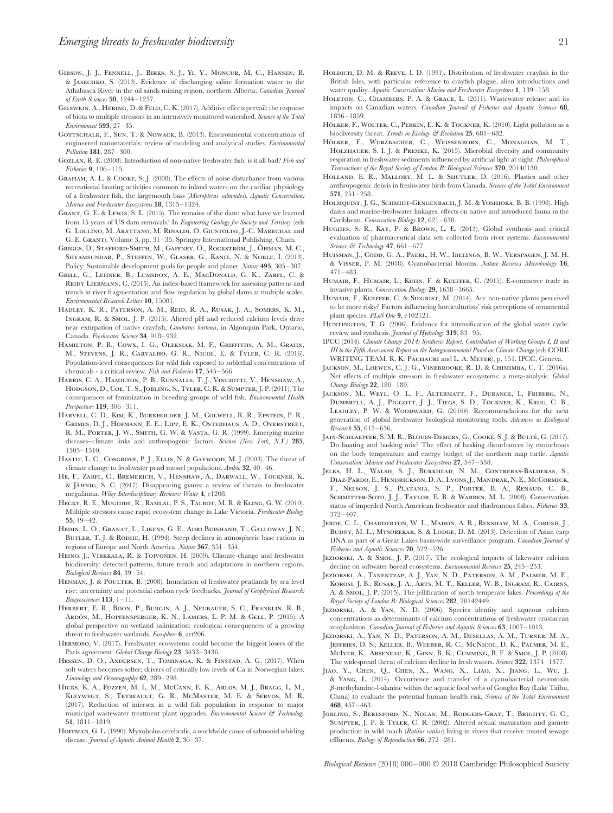- Gibson, J. J., Fennell, J., Birks, S. J., Yi, Y., Moncur, M. C., Hansen, B. & Jasechko, S. (2013). Evidence of discharging saline formation water to the Athabasca River in the oil sands mining region, northern Alberta. *Canadian Journal of Earth Sciences* **50**, 1244–1257.
- Gieswein, A., Hering, D. & Feld, C. K. (2017). Additive effects prevail: the response of biota to multiple stressors in an intensively monitored watershed. *Science of the Total Environment* **593**, 27–35.
- GOTTSCHALK, F., SUN, T. & NOWACK, B. (2013). Environmental concentrations of engineered nanomaterials: review of modeling and analytical studies. *Environmental Pollution* **181**, 287–300.
- Gozlan, R. E. (2008). Introduction of non-native freshwater fish: is it all bad? *Fish and Fisheries* **9**, 106–115.
- Graham, A. L. & Cooke, S. J. (2008). The effects of noise disturbance from various recreational boating activities common to inland waters on the cardiac physiology of a freshwater fish, the largemouth bass (*Micropterus salmoides*). *Aquatic Conservation: Marine and Freshwater Ecosystems* **18**, 1315–1324.
- Grant, G. E. & Lewis, S. L. (2015). The remains of the dam: what have we learned from 15 years of US dam removals? In *Engineering Geology for Society and Territory* (eds G. Lollino, M. Arattano, M. Rinaldi, O. Giustolisi, J.-C. Marechal and G. E. Grant), Volume 3, pp. 31–35. Springer International Publishing, Cham.
- GRIGGS, D., STAFFORD-SMITH, M., GAFFNEY, O., ROCKSTRÖM, J., ÖHMAN, M. C. Shyamsundar, P., Steffen, W., Glaser, G., Kanie, N. & Noble, I. (2013). Policy: Sustainable development goals for people and planet. *Nature* **495**, 305–307.
- Grill, G., Lehner, B., Lumsdon, A. E., MacDonald, G. K., Zarfl, C. & REIDY LIERMANN, C. (2015). An index-based framework for assessing patterns and trends in river fragmentation and flow regulation by global dams at multiple scales. *Environmental Research Letters* **10**, 15001.
- Hadley, K. R., Paterson, A. M., Reid, R. A., Rusak, J. A., Somers, K. M., Ingram, R. & Smol, J. P. (2015). Altered pH and reduced calcium levels drive near extirpation of native crayfish, *Cambarus bartonii*, in Algonquin Park, Ontario, Canada. *Freshwater Science* **34**, 918–932.
- Hamilton, P. B., Cowx, I. G., Oleksiak, M. F., Griffiths, A. M., Grahn, M., Stevens, J. R., Carvalho, G. R., Nicol, E. & Tyler, C. R. (2016). Population-level consequences for wild fish exposed to sublethal concentrations of chemicals - a critical review. *Fish and Fisheries* **17**, 545–566.
- Harris, C. A., Hamilton, P. B., Runnalls, T. J., Vinciotti, V., Henshaw, A., Hodgson, D., Coe, T. S., Jobling, S., Tyler, C. R. & Sumpter, J. P. (2011). The consequences of feminization in breeding groups of wild fish. *Environmental Health Perspectives* **119**, 306–311.
- Harvell, C. D., Kim, K., Burkholder, J. M., Colwell, R. R., Epstein, P. R., Grimes, D. J., Hofmann, E. E., Lipp, E. K., Osterhaus, A. D., Overstreet, R. M., Porter, J. W., Smith, G. W. & Vasta, G. R. (1999). Emerging marine diseases--climate links and anthropogenic factors. *Science (New York, N.Y.)* **285**, 1505–1510.
- Hastie, L. C., Cosgrove, P. J., Ellis, N. & Gaywood, M. J. (2003). The threat of climate change to freshwater pearl mussel populations. *Ambio* **32**, 40–46.
- He, F., Zarfl, C., Bremerich, V., Henshaw, A., Darwall, W., Tockner, K. & JÄHNIG, S. C. (2017). Disappearing giants: a review of threats to freshwater megafauna. *Wiley Interdisciplinary Reviews: Water* **4**, e1208.
- Hecky, R. E., Mugidde, R., Ramlal, P. S., Talbot, M. R. & Kling, G. W. (2010). Multiple stressors cause rapid ecosystem change in Lake Victoria. *Freshwater Biology* **55**, 19–42.
- Hedin, L. O., Granat, L., Likens, G. E., Adri Buishand, T., Galloway, J. N., BUTLER, T. J. & RODHE, H. (1994). Steep declines in atmospheric base cations in regions of Europe and North America. *Nature* **367**, 351–354.
- Heino, J., Virkkala, R. & Toivonen, H. (2009). Climate change and freshwater biodiversity: detected patterns, future trends and adaptations in northern regions. *Biological Reviews* **84**, 39–54.
- HENMAN, J. & POULTER, B. (2008). Inundation of freshwater peatlands by sea level rise: uncertainty and potential carbon cycle feedbacks. *Journal of Geophysical Research: Biogeosciences* **113**, 1–11.
- Herbert, E. R., Boon, P., Burgin, A. J., Neubauer, S. C., Franklin, R. B., ARDÓN, M., HOPFENSPERGER, K. N., LAMERS, L. P. M. & GELL, P. (2015). A global perspective on wetland salinization: ecological consequences of a growing threat to freshwater wetlands. *Ecosphere* **6**, art206.
- Hermoso, V. (2017). Freshwater ecosystems could become the biggest losers of the Paris agreement. *Global Change Biology* **23**, 3433–3436.
- Hessen, D. O., Andersen, T., Tominaga, K. & Finstad, A. G. (2017). When soft waters becomes softer; drivers of critically low levels of Ca in Norwegian lakes. *Limnology and Oceanography* **62**, 289–298.
- Hicks, K. A., Fuzzen, M. L. M., McCann, E. K., Arlos, M. J., Bragg, L. M., Kleywegt, S., Tetreault, G. R., McMaster, M. E. & Servos, M. R. (2017). Reduction of intersex in a wild fish population in response to major municipal wastewater treatment plant upgrades. *Environmental Science & Technology* **51**, 1811–1819.
- HOFFMAN, G. L. (1990). Myxobolus cerebralis, a worldwide cause of salmonid whirling disease. *Journal of Aquatic Animal Health* **2**, 30–37.
- HOLDICH, D. M. & REEVE, I. D. (1991). Distribution of freshwater crayfish in the British Isles, with particular reference to crayfish plague, alien introductions and water quality. *Aquatic Conservation: Marine and Freshwater Ecosystems* **1**, 139–158.
- HOLETON, C., CHAMBERS, P. A. & GRACE, L. (2011). Wastewater release and its impacts on Canadian waters. *Canadian Journal of Fisheries and Aquatic Sciences* **68**, 1836–1859.
- HÖLKER, F., WOLTER, C., PERKIN, E. K. & TOCKNER, K. (2010). Light pollution as a biodiversity threat. *Trends in Ecology & Evolution* **25**, 681–682.
- HÖLKER, F., WURZBACHER, C., WEISSENBORN, C., MONAGHAN, M. T., Holzhauer, S. I. J. & Premke, K. (2015). Microbial diversity and community respiration in freshwater sediments influenced by artificial light at night. *Philosophical Transactions of the Royal Society of London B: Biological Sciences* **370**, 20140130.
- Holland, E. R., Mallory, M. L. & Shutler, D. (2016). Plastics and other anthropogenic debris in freshwater birds from Canada. *Science of the Total Environment* **571**, 251–258.
- HOLMQUIST, J. G., SCHMIDT-GENGENBACH, J. M. & YOSHIOKA, B. B. (1998). High dams and marine-freshwater linkages: effects on native and introduced fauna in the Caribbean. *Conservation Biology* **12**, 621–630.
- Hughes, S. R., Kay, P. & Brown, L. E. (2013). Global synthesis and critical evaluation of pharmaceutical data sets collected from river systems. *Environmental Science & Technology* **47**, 661–677.
- Huisman, J., Codd, G. A., Paerl, H. W., Ibelings, B. W., Verspagen, J. M. H. & Visser, P. M. (2018). Cyanobacterial blooms. *Nature Reviews Microbiology* **16**, 471–483.
- Humair, F., Humair, L., Kuhn, F. & Kueffer, C. (2015). E-commerce trade in invasive plants. *Conservation Biology* **29**, 1658–1665.
- Humair, F., Kueffer, C. & Siegrist, M. (2014). Are non-native plants perceived to be more risky? Factors influencing horticulturists' risk perceptions of ornamental plant species. *PLoS One* **9**, e102121.
- HUNTINGTON, T. G. (2006). Evidence for intensification of the global water cycle: review and synthesis. *Journal of Hydrology* **319**, 83–95.
- IPCC (2014). *Climate Change 2014: Synthesis Report. Contribution of Working Groups I, II and III to the Fifth Assessment Report on the Intergovernmental Panel on Climate Change* (eds CORE WRITING TEAM, R. K. Pachauri and L. A. Meyer), p. 151. IPCC, Geneva.
- Jackson, M., Loewen, C. J. G., Vinebrooke, R. D. & Chimimba, C. T. (2016*a*). Net effects of multiple stressors in freshwater ecosystems: a meta-analysis. *Global Change Biology* **22**, 180–189.
- Jackson, M., Weyl, O. L. F., Altermatt, F., Durance, I., Friberg, N., Dumbrell, A. J., Piggott, J. J., Tiegs, S. D., Tockner, K., Krug, C. B., LEADLEY, P. W. & WOODWARD, G. (2016b). Recommendations for the next generation of global freshwater biological monitoring tools. *Advances in Ecological Research* **55**, 615–636.
- JAIN-SCHLAEPFER, S. M. R., BLOUIN-DEMERS, G., COOKE, S. J. & BULTÉ, G. (2017). Do boating and basking mix? The effect of basking disturbances by motorboats on the body temperature and energy budget of the northern map turtle. *Aquatic Conservation: Marine and Freshwater Ecosystems* **27**, 547–558.
- Jelks, H. L., Walsh, S. J., Burkhead, N. M., Contreras-Balderas, S., Diaz-Pardo, E., Hendrickson, D. A.,Lyons, J., Mandrak, N. E., McCormick, F., Nelson, J. S., Platania, S. P., Porter, B. A., Renaud, C. B., SCHMITTER-SOTO, J. J., TAYLOR, E. B. & WARREN, M. L. (2008). Conservation status of imperiled North American freshwater and diadromous fishes. *Fisheries* **33**, 372–407.
- Jerde, C. L., Chadderton, W. L., Mahon, A. R., Renshaw, M. A., Corush, J., BUDNY, M. L., MYSOREKAR, S. & LODGE, D. M. (2013). Detection of Asian carp DNA as part of a Great Lakes basin-wide surveillance program. *Canadian Journal of Fisheries and Aquatic Sciences* **70**, 522–526.
- Jeziorski, A. & Smol, J. P. (2017). The ecological impacts of lakewater calcium decline on softwater boreal ecosystems. *Environmental Reviews* **25**, 245–253.
- Jeziorski, A., Tanentzap, A. J., Yan, N. D., Paterson, A. M., Palmer, M. E., Korosi, J. B., Rusak, J. A., Arts, M. T., Keller, W. B., Ingram, R., Cairns, A. & Smol, J. P. (2015). The jellification of north temperate lakes. *Proceedings of the Royal Society of London B: Biological Sciences* **282**, 20142449.
- Jeziorski, A. & Yan, N. D. (2006). Species identity and aqueous calcium concentrations as determinants of calcium concentrations of freshwater crustacean zooplankton. *Canadian Journal of Fisheries and Aquatic Sciences* **63**, 1007–1013.
- Jeziorski, A., Yan, N. D., Paterson, A. M., Desellas, A. M., Turner, M. A., Jeffries, D. S., Keller, B., Weeber, R. C., McNicol, D. K., Palmer, M. E., McIver, K., Arseneau, K., Ginn, B. K., Cumming, B. F. & Smol, J. P. (2008). The widespread threat of calcium decline in fresh waters. *Science* **322**, 1374–1377.
- Jiao, Y., Chen, Q., Chen, X., Wang, X., Liao, X., Jiang, L., Wu, J. & Yang, L. (2014). Occurrence and transfer of a cyanobacterial neurotoxin *β*-methylamino-l-alanine within the aquatic food webs of Gonghu Bay (Lake Taihu, China) to evaluate the potential human health risk. *Science of the Total Environment* **468**, 457–463.
- Jobling, S., Beresford, N., Nolan, M., Rodgers-Gray, T., Brighty, G. C., Sumpter, J. P. & Tyler, C. R. (2002). Altered sexual maturation and gamete production in wild roach (*Rutilus rutilus*) living in rivers that receive treated sewage effluents. *Biology of Reproduction* **66**, 272–281.

*Biological Reviews* (2018) 000–000 © 2018 Cambridge Philosophical Society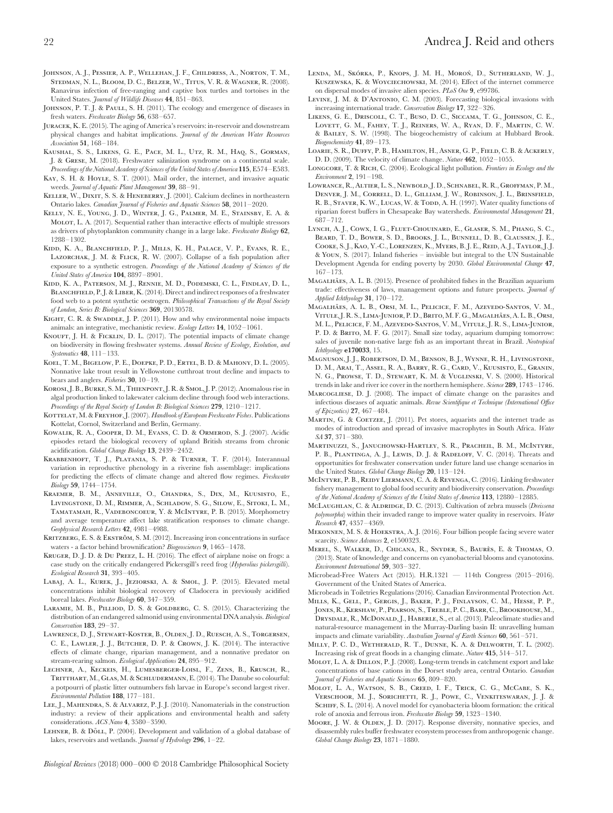- Johnson, A. J., Pessier, A. P., Wellehan, J. F., Childress, A., Norton, T. M., Stedman, N. L., Bloom, D. C., Belzer, W., Titus, V. R. & Wagner, R. (2008). Ranavirus infection of free-ranging and captive box turtles and tortoises in the United States. *Journal of Wildlife Diseases* **44**, 851–863.
- JOHNSON, P. T. J. & PAULL, S. H. (2011). The ecology and emergence of diseases in fresh waters. *Freshwater Biology* **56**, 638–657.
- Juracek, K. E. (2015). The aging of America's reservoirs: in-reservoir and downstream physical changes and habitat implications. *Journal of the American Water Resources Association* **51**, 168–184.
- Kaushal, S. S., Likens, G. E., Pace, M. L., Utz, R. M., Haq, S., Gorman, J. & Grese, M. (2018). Freshwater salinization syndrome on a continental scale. *Proceedings of the National Academy of Sciences of the United States of America* **115**, E574–E583.
- KAY, S. H. & HOYLE, S. T. (2001). Mail order, the internet, and invasive aquatic weeds. *Journal of Aquatic Plant Management* **39**, 88–91.
- KELLER, W., DIXIT, S. S. & HENEBERRY, J. (2001). Calcium declines in northeastern Ontario lakes. *Canadian Journal of Fisheries and Aquatic Sciences* **58**, 2011–2020.
- Kelly, N. E., Young, J. D., Winter, J. G., Palmer, M. E., Stainsby, E. A. & Molot, L. A. (2017). Sequential rather than interactive effects of multiple stressors as drivers of phytoplankton community change in a large lake. *Freshwater Biology* **62**, 1288–1302.
- Kidd, K. A., Blanchfield, P. J., Mills, K. H., Palace, V. P., Evans, R. E., LAZORCHAK, J. M. & FLICK, R. W. (2007). Collapse of a fish population after exposure to a synthetic estrogen. *Proceedings of the National Academy of Sciences of the United States of America* **104**, 8897–8901.
- Kidd, K. A., Paterson, M. J., Rennie, M. D., Podemski, C. L., Findlay, D. L., BLANCHFIELD, P.J. & LIBER, K. (2014). Direct and indirect responses of a freshwater food web to a potent synthetic oestrogen. *Philosophical Transactions of the Royal Society of London, Series B: Biological Sciences* **369**, 20130578.
- KIGHT, C. R. & SWADDLE, J. P. (2011). How and why environmental noise impacts animals: an integrative, mechanistic review. *Ecology Letters* **14**, 1052–1061.
- KNOUFT, J. H. & FICKLIN, D. L. (2017). The potential impacts of climate change on biodiversity in flowing freshwater systems. *Annual Review of Ecology, Evolution, and Systematics* **48**, 111–133.
- Koel, T. M., Bigelow, P. E., Doepke, P. D., Ertel, B. D. & Mahony, D. L. (2005). Nonnative lake trout result in Yellowstone cutthroat trout decline and impacts to bears and anglers. *Fisheries* **30**, 10–19.
- KOROSI, J. B., BURKE, S. M., THIENPONT, J. R. & SMOL, J. P. (2012). Anomalous rise in algal production linked to lakewater calcium decline through food web interactions. *Proceedings of the Royal Society of London B: Biological Sciences* **279**, 1210–1217.
- KOTTELAT, M. & FREYHOF, J. (2007). *Handbook of European Freshwater Fishes*. Publications Kottelat, Cornol, Switzerland and Berlin, Germany.
- Kowalik, R. A., Cooper, D. M., Evans, C. D. & Ormerod, S. J. (2007). Acidic episodes retard the biological recovery of upland British streams from chronic acidification. *Global Change Biology* **13**, 2439–2452.
- Krabbenhoft, T. J., Platania, S. P. & Turner, T. F. (2014). Interannual variation in reproductive phenology in a riverine fish assemblage: implications for predicting the effects of climate change and altered flow regimes. *Freshwater Biology* **59**, 1744–1754.
- Kraemer, B. M., Anneville, O., Chandra, S., Dix, M., Kuusisto, E., Livingstone, D. M., Rimmer, A., Schladow, S. G., Silow, E., Sitoki, L. M., TAMATAMAH, R., VADEBONCOEUR, Y. & MCINTYRE, P. B. (2015). Morphometry and average temperature affect lake stratification responses to climate change. *Geophysical Research Letters* **42**, 4981–4988.
- KRITZBERG, E. S. & EKSTRÖM, S. M. (2012). Increasing iron concentrations in surface waters - a factor behind brownification? *Biogeosciences* **9**, 1465–1478.
- Kruger, D. J. D. & Du Preez, L. H. (2016). The effect of airplane noise on frogs: a case study on the critically endangered Pickersgill's reed frog (*Hyperolius pickersgilli*). *Ecological Research* **31**, 393–405.
- Labaj, A. L., Kurek, J., Jeziorski, A. & Smol, J. P. (2015). Elevated metal concentrations inhibit biological recovery of Cladocera in previously acidified boreal lakes. *Freshwater Biology* **60**, 347–359.
- LARAMIE, M. B., PILLIOD, D. S. & GOLDBERG, C. S. (2015). Characterizing the distribution of an endangered salmonid using environmental DNA analysis. *Biological Conservation* **183**, 29–37.
- Lawrence, D. J., Stewart-Koster, B., Olden, J. D., Ruesch, A. S., Torgersen, C. E., Lawler, J. J., Butcher, D. P. & Crown, J. K. (2014). The interactive effects of climate change, riparian management, and a nonnative predator on stream-rearing salmon. *Ecological Applications* **24**, 895–912.
- Lechner, A., Keckeis, H., Lumesberger-Loisl, F., Zens, B., Krusch, R., TRITTHART, M., GLAS, M. & SCHLUDERMANN, E. (2014). The Danube so colourful: a potpourri of plastic litter outnumbers fish larvae in Europe's second largest river. *Environmental Pollution* **188**, 177–181.
- LEE, J., MAHENDRA, S. & ALVAREZ, P. J. J. (2010). Nanomaterials in the construction industry: a review of their applications and environmental health and safety considerations. *ACS Nano* **4**, 3580–3590.
- LEHNER, B. & DÖLL, P. (2004). Development and validation of a global database of lakes, reservoirs and wetlands. *Journal of Hydrology* **296**, 1–22.
- LENDA, M., SKÓRKA, P., KNOPS, J. M. H., MOROŃ, D., SUTHERLAND, W. J., KUSZEWSKA, K. & WOYCIECHOWSKI, M. (2014). Effect of the internet commerce on dispersal modes of invasive alien species. *PLoS One* **9**, e99786.
- LEVINE, J. M. & D'ANTONIO, C. M. (2003). Forecasting biological invasions with increasing international trade. *Conservation Biology* **17**, 322–326.
- Likens, G. E., Driscoll, C. T., Buso, D. C., Siccama, T. G., Johnson, C. E., Lovett, G. M., Fahey, T. J., Reiners, W. A., Ryan, D. F., Martin, C. W. & Bailey, S. W. (1998). The biogeochemistry of calcium at Hubbard Brook. *Biogeochemistry* **41**, 89–173.
- Loarie, S. R., Duffy, P. B., Hamilton, H., Asner, G. P., Field, C. B. & Ackerly, D. D. (2009). The velocity of climate change. *Nature* **462**, 1052–1055.
- Longcore, T. & Rich, C. (2004). Ecological light pollution. *Frontiers in Ecology and the Environment* **2**, 191–198.
- Lowrance, R., Altier, L. S., Newbold, J. D., Schnabel, R. R., Groffman, P. M., Denver, J. M., Correll, D. L., Gilliam, J. W., Robinson, J. L., Brinsfield, R. B., STAVER, K. W., LUCAS, W. & TODD, A. H. (1997). Water quality functions of riparian forest buffers in Chesapeake Bay watersheds. *Environmental Management* **21**, 687–712.
- Lynch, A. J., Cowx, I. G., Fluet-Chouinard, E., Glaser, S. M., Phang, S. C., Beard, T. D., Bower, S. D., Brooks, J. L., Bunnell, D. B., Claussen, J. E., Cooke, S. J., Kao, Y.-C., Lorenzen, K., Myers, B. J. E., Reid, A. J., Taylor, J. J. & Youn, S. (2017). Inland fisheries – invisible but integral to the UN Sustainable Development Agenda for ending poverty by 2030. *Global Environmental Change* **47**, 167–173.
- MAGALHÃES, A. L. B. (2015). Presence of prohibited fishes in the Brazilian aquarium trade: effectiveness of laws, management options and future prospects. *Journal of Applied Ichthyology* **31**, 170–172.
- MAGALHÃES, A. L. B., ORSI, M. L., PELICICE, F. M., AZEVEDO-SANTOS, V. M., VITULE, J. R. S., LIMA-JUNIOR, P. D., BRITO, M. F. G., MAGALHÃES, A. L. B., ORSI, M. L., Pelicice, F. M., Azevedo-Santos, V. M., Vitule, J. R. S., Lima-Junior, P. D. & BRITO, M. F. G. (2017). Small size today, aquarium dumping tomorrow: sales of juvenile non-native large fish as an important threat in Brazil. *Neotropical Ichthyology* **e170033**, 15.
- Magnuson, J. J., Robertson, D. M., Benson, B. J., Wynne, R. H., Livingstone, D. M., Arai, T., Assel, R. A., Barry, R. G., Card, V., Kuusisto, E., Granin, N. G., Prowse, T. D., Stewart, K. M. & Vuglinski, V. S. (2000). Historical trends in lake and river ice cover in the northern hemisphere. *Science* **289**, 1743–1746.
- Marcogliese, D. J. (2008). The impact of climate change on the parasites and infectious diseases of aquatic animals. *Revue Scientifique et Technique (International Office of Epizootics)* **27**, 467–484.
- MARTIN, G. & COETZEE, J. (2011). Pet stores, aquarists and the internet trade as modes of introduction and spread of invasive macrophytes in South Africa. *Water SA* **37**, 371–380.
- Martinuzzi, S., Januchowski-Hartley, S. R., Pracheil, B. M., McIntyre, P. B., PLANTINGA, A. J., LEWIS, D. J. & RADELOFF, V. C. (2014). Threats and opportunities for freshwater conservation under future land use change scenarios in the United States. *Global Change Biology* **20**, 113–124.
- McIntyre, P. B., Reidy Liermann, C. A. & Revenga, C. (2016). Linking freshwater fishery management to global food security and biodiversity conservation. *Proceedings of the National Academy of Sciences of the United States of America* **113**, 12880–12885.
- McLaughlan, C. & Aldridge, D. C. (2013). Cultivation of zebra mussels (*Dreissena polymorpha*) within their invaded range to improve water quality in reservoirs. *Water Research* **47**, 4357–4369.
- Mekonnen, M. S. & Hoekstra, A. J. (2016). Four billion people facing severe water scarcity. *Science Advances* **2**, e1500323.
- MEREL, S., WALKER, D., CHICANA, R., SNYDER, S., BAURÈS, E. & THOMAS, O. (2013). State of knowledge and concerns on cyanobacterial blooms and cyanotoxins. *Environment International* **59**, 303–327.
- Microbead-Free Waters Act (2015). H.R.1321 114th Congress (2015–2016). Government of the United States of America.
- Microbeads in Toiletries Regulations (2016). Canadian Environmental Protection Act. Mills, K., Gell, P., Gergis, J., Baker, P. J., Finlayson, C. M., Hesse, P. P.,
- JONES, R., KERSHAW, P., PEARSON, S., TREBLE, P. C., BARR, C., BROOKHOUSE, M., DRYSDALE, R., McDONALD, J., HABERLE, S., et al. (2013). Paleoclimate studies and natural-resource management in the Murray-Darling basin II: unravelling human impacts and climate variability. *Australian Journal of Earth Sciences* **60**, 561–571.
- Milly, P. C. D., Wetherald, R. T., Dunne, K. A. & Delworth, T. L. (2002). Increasing risk of great floods in a changing climate. *Nature* **415**, 514–517.
- Molot, L. A. & Dillon, P. J. (2008). Long-term trends in catchment export and lake concentrations of base cations in the Dorset study area, central Ontario. *Canadian Journal of Fisheries and Aquatic Sciences* **65**, 809–820.
- Molot, L. A., Watson, S. B., Creed, I. F., Trick, C. G., McCabe, S. K., Verschoor, M. J., Sorichetti, R. J., Powe, C., Venkiteswaran, J. J. & SCHIFF, S. L. (2014). A novel model for cyanobacteria bloom formation: the critical role of anoxia and ferrous iron. *Freshwater Biology* **59**, 1323–1340.
- MOORE, J. W. & OLDEN, J. D. (2017). Response diversity, nonnative species, and disassembly rules buffer freshwater ecosystem processes from anthropogenic change. *Global Change Biology* **23**, 1871–1880.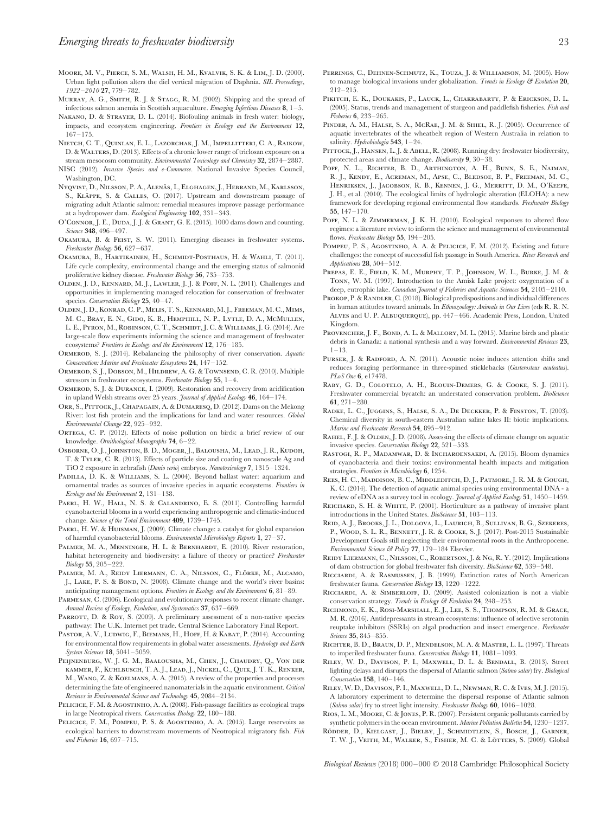- Moore, M. V., Pierce, S. M., Walsh, H. M., Kvalvik, S. K. & Lim, J. D. (2000). Urban light pollution alters the diel vertical migration of Daphnia. *SIL Proceedings, 1922–2010* **27**, 779–782.
- MURRAY, A. G., SMITH, R. J. & STAGG, R. M. (2002). Shipping and the spread of infectious salmon anemia in Scottish aquaculture. *Emerging Infectious Diseases* **8**, 1–5.
- Nakano, D. & Strayer, D. L. (2014). Biofouling animals in fresh water: biology, impacts, and ecosystem engineering. *Frontiers in Ecology and the Environment* **12**, 167–175.
- Nietch, C. T., Quinlan, E. L., Lazorchak, J. M., Impellitteri, C. A., Raikow, D. & Walters, D. (2013). Effects of a chronic lower range of triclosan exposure on a stream mesocosm community. *Environmental Toxicology and Chemistry* **32**, 2874–2887.
- NISC (2012). *Invasive Species and e-Commerce*. National Invasive Species Council, Washington, DC.
- Nyqvist, D., Nilsson, P. A., Alenäs, I., Elghagen, J., Hebrand, M., Karlsson, S., KLÄPPE, S. & CALLES, O. (2017). Upstream and downstream passage of migrating adult Atlantic salmon: remedial measures improve passage performance at a hydropower dam. *Ecological Engineering* **102**, 331–343.
- O'Connor, J. E., Duda, J. J. & Grant, G. E. (2015). 1000 dams down and counting. *Science* **348**, 496–497.
- Okamura, B. & Feist, S. W. (2011). Emerging diseases in freshwater systems. *Freshwater Biology* **56**, 627–637.
- Okamura, B., Hartikainen, H., Schmidt-Posthaus, H. & Wahli, T. (2011). Life cycle complexity, environmental change and the emerging status of salmonid proliferative kidney disease. *Freshwater Biology* **56**, 735–753.
- Olden, J. D., Kennard, M. J., Lawler, J. J. & Poff, N. L. (2011). Challenges and opportunities in implementing managed relocation for conservation of freshwater species. *Conservation Biology* **25**, 40–47.
- Olden, J. D., Konrad, C. P., Melis, T. S., Kennard, M. J., Freeman, M. C., Mims, M. C., Bray, E. N., Gido, K. B., Hemphill, N. P., Lytle, D. A., McMullen, L. E., Pyron, M., Robinson, C. T., Schmidt, J. C. & Williams, J. G. (2014). Are large-scale flow experiments informing the science and management of freshwater ecosystems? *Frontiers in Ecology and the Environment* **12**, 176–185.
- Ormerod, S. J. (2014). Rebalancing the philosophy of river conservation. *Aquatic Conservation: Marine and Freshwater Ecosystems* **24**, 147–152.
- Ormerod, S. J., Dobson, M., Hildrew, A. G. & Townsend, C. R. (2010). Multiple stressors in freshwater ecosystems. *Freshwater Biology* **55**, 1–4.
- Ormerod, S. J. & Durance, I. (2009). Restoration and recovery from acidification in upland Welsh streams over 25 years. *Journal of Applied Ecology* **46**, 164–174.
- Orr, S., Pittock, J., Chapagain, A. & Dumaresq, D. (2012). Dams on the Mekong River: lost fish protein and the implications for land and water resources. *Global Environmental Change* **22**, 925–932.
- ORTEGA, C. P. (2012). Effects of noise pollution on birds: a brief review of our knowledge. *Ornithological Monographs* **74**, 6–22.
- Osborne, O. J., Johnston, B. D., Moger, J., Balousha, M., Lead, J. R., Kudoh, T. & Tyler, C. R. (2013). Effects of particle size and coating on nanoscale Ag and TiO 2 exposure in zebrafish (*Danio rerio*) embryos. *Nanotoxicology* **7**, 1315–1324.
- PADILLA, D. K. & WILLIAMS, S. L. (2004). Beyond ballast water: aquarium and ornamental trades as sources of invasive species in aquatic ecosystems. *Frontiers in Ecology and the Environment* **2**, 131–138.
- PAERL, H. W., HALL, N. S. & CALANDRINO, E. S. (2011). Controlling harmful cyanobacterial blooms in a world experiencing anthropogenic and climatic-induced change. *Science of the Total Environment* **409**, 1739–1745.
- PAERL, H. W. & HUISMAN, J. (2009). Climate change: a catalyst for global expansion of harmful cyanobacterial blooms. *Environmental Microbiology Reports* **1**, 27–37.
- PALMER, M. A., MENNINGER, H. L. & BERNHARDT, E. (2010). River restoration, habitat heterogeneity and biodiversity: a failure of theory or practice? *Freshwater Biology* **55**, 205–222.
- PALMER, M. A., REIDY LIERMANN, C. A., NILSSON, C., FLÖRKE, M., ALCAMO, J., LAKE, P. S. & BOND, N. (2008). Climate change and the world's river basins: anticipating management options. *Frontiers in Ecology and the Environment* **6**, 81–89.
- Parmesan, C. (2006). Ecological and evolutionary responses to recent climate change. *Annual Review of Ecology, Evolution, and Systematics* **37**, 637–669.
- PARROTT, D. & ROY, S. (2009). A preliminary assessment of a non-native species pathway: The U.K. Internet pet trade. Central Science Laboratory Final Report.
- PASTOR, A. V., LUDWIG, F., BIEMANS, H., HOFF, H. & KABAT, P. (2014). Accounting for environmental flow requirements in global water assessments. *Hydrology and Earth System Sciences* **18**, 5041–5059.
- Peijnenburg, W. J. G. M., Baalousha, M., Chen, J., Chaudry, Q., Von der kammer, F., Kuhlbusch, T. A. J., Lead, J., Nickel, C., Quik, J. T. K., Renker, M., Wang, Z. & Koelmans, A. A. (2015). A review of the properties and processes determining the fate of engineered nanomaterials in the aquatic environment. *Critical Reviews in Environmental Science and Technology* **45**, 2084–2134.
- PELICICE, F. M. & AGOSTINHO, A. A. (2008). Fish-passage facilities as ecological traps in large Neotropical rivers. *Conservation Biology* **22**, 180–188.
- PELICICE, F. M., POMPEU, P. S. & AGOSTINHO, A. A. (2015). Large reservoirs as ecological barriers to downstream movements of Neotropical migratory fish. *Fish and Fisheries* **16**, 697–715.
- Perrings, C., Dehnen-Schmutz, K., Touza, J. & Williamson, M. (2005). How to manage biological invasions under globalization. *Trends in Ecology & Evolution* **20**, 212–215.
- Pikitch, E. K., Doukakis, P., Lauck, L., Chakrabarty, P. & Erickson, D. L. (2005). Status, trends and management of sturgeon and paddlefish fisheries. *Fish and Fisheries* **6**, 233–265.
- PINDER, A. M., HALSE, S. A., MCRAE, J. M. & SHIEL, R. J. (2005). Occurrence of aquatic invertebrates of the wheatbelt region of Western Australia in relation to salinity. *Hydrobiologia* **543**, 1–24.
- PITTOCK, J., HANSEN, L. J. & ABELL, R. (2008). Running dry: freshwater biodiversity, protected areas and climate change. *Biodiversity* **9**, 30–38.
- POFF, N. L., RICHTER, B. D., ARTHINGTON, A. H., BUNN, S. E., NAIMAN, R. J., Kendy, E., Acreman, M., Apse, C., Bledsoe, B. P., Freeman, M. C., Henriksen, J., Jacobson, R. B., Kennen, J. G., Merritt, D. M., O'Keefe, J. H., et al. (2010). The ecological limits of hydrologic alteration (ELOHA): a new framework for developing regional environmental flow standards. *Freshwater Biology* **55**, 147–170.
- POFF, N. L. & ZIMMERMAN, J. K. H. (2010). Ecological responses to altered flow regimes: a literature review to inform the science and management of environmental flows. *Freshwater Biology* **55**, 194–205.
- POMPEU, P. S., AGOSTINHO, A. A. & PELICICE, F. M. (2012). Existing and future challenges: the concept of successful fish passage in South America. *River Research and Applications* **28**, 504–512.
- PREPAS, E. E., FIELD, K. M., MURPHY, T. P., JOHNSON, W. L., BURKE, J. M. & Tonn, W. M. (1997). Introduction to the Amisk Lake project: oxygenation of a deep, eutrophic lake. *Canadian Journal of Fisheries and Aquatic Sciences* **54**, 2105–2110.
- PROKOP, P. & RANDLER, C. (2018). Biological predispositions and individual differences in human attitudes toward animals. In *Ethnozoology: Animals in Our Lives* (eds R. R. N. Alves and U. P. Albuquerque), pp. 447–466. Academic Press, London, United Kingdom.
- PROVENCHER, J. F., BOND, A. L. & MALLORY, M. L. (2015). Marine birds and plastic debris in Canada: a national synthesis and a way forward. *Environmental Reviews* **23**, 1–13.
- PURSER, J. & RADFORD, A. N. (2011). Acoustic noise induces attention shifts and reduces foraging performance in three-spined sticklebacks (*Gasterosteus aculeatus*). *PLoS One* **6**, e17478.
- Raby, G. D., Colotelo, A. H., Blouin-Demers, G. & Cooke, S. J. (2011). Freshwater commercial bycatch: an understated conservation problem. *BioScience* **61**, 271–280.
- Radke, L. C., Juggins, S., Halse, S. A., De Deckker, P. & Finston, T. (2003). Chemical diversity in south-eastern Australian saline lakes II: biotic implications. *Marine and Freshwater Research* **54**, 895–912.
- RAHEL, F.J. & OLDEN, J.D. (2008). Assessing the effects of climate change on aquatic invasive species. *Conservation Biology* **22**, 521–533.
- Rastogi, R. P., Madamwar, D. & Incharoensakdi, A. (2015). Bloom dynamics of cyanobacteria and their toxins: environmental health impacts and mitigation strategies. *Frontiers in Microbiology* **6**, 1254.
- Rees, H. C., Maddison, B. C., Middleditch, D. J., Patmore, J. R. M. & Gough, K. C. (2014). The detection of aquatic animal species using environmental DNA - a review of eDNA as a survey tool in ecology. *Journal of Applied Ecology* **51**, 1450–1459.
- REICHARD, S. H. & WHITE, P. (2001). Horticulture as a pathway of invasive plant introductions in the United States. *BioScience* **51**, 103–113.
- Reid, A. J., Brooks, J. L., Dolgova, L., Laurich, B., Sullivan, B. G., Szekeres, P., WOOD, S. L. R., BENNETT, J. R. & COOKE, S. J. (2017). Post-2015 Sustainable Development Goals still neglecting their environmental roots in the Anthropocene. *Environmental Science & Policy* **77**, 179–184 Elsevier.
- Reidy Liermann, C., Nilsson, C., Robertson, J. & Ng, R. Y. (2012). Implications of dam obstruction for global freshwater fish diversity. *BioScience* **62**, 539–548.
- Ricciardi, A. & Rasmussen, J. B. (1999). Extinction rates of North American freshwater fauna. *Conservation Biology* **13**, 1220–1222.
- Ricciardi, A. & Simberloff, D. (2009). Assisted colonization is not a viable conservation strategy. *Trends in Ecology & Evolution* **24**, 248–253.
- Richmond, E. K., Rosi-Marshall, E. J., Lee, S. S., Thompson, R. M. & Grace, M. R. (2016). Antidepressants in stream ecosystems: influence of selective serotonin reuptake inhibitors (SSRIs) on algal production and insect emergence. *Freshwater Science* **35**, 845–855.
- Richter, B. D., Braun, D. P., Mendelson, M. A. & Master, L. L. (1997). Threats to imperiled freshwater fauna. *Conservation Biology* **11**, 1081–1093.
- Riley, W. D., Davison, P. I., Maxwell, D. L. & Bendall, B. (2013). Street lighting delays and disrupts the dispersal of Atlantic salmon (*Salmo salar*) fry. *Biological Conservation* **158**, 140–146.
- Riley, W. D., Davison, P. I., Maxwell, D. L., Newman, R. C. & Ives, M. J. (2015). A laboratory experiment to determine the dispersal response of Atlantic salmon (*Salmo salar*) fry to street light intensity. *Freshwater Biology* **60**, 1016–1028.
- Rios, L. M., Moore, C. & Jones, P. R. (2007). Persistent organic pollutants carried by synthetic polymers in the ocean environment. *Marine Pollution Bulletin* **54**, 1230–1237.

RÖDDER, D., KIELGAST, J., BIELBY, J., SCHMIDTLEIN, S., BOSCH, J., GARNER, T. W. J., VEITH, M., WALKER, S., FISHER, M. C. & LÖTTERS, S. (2009). Global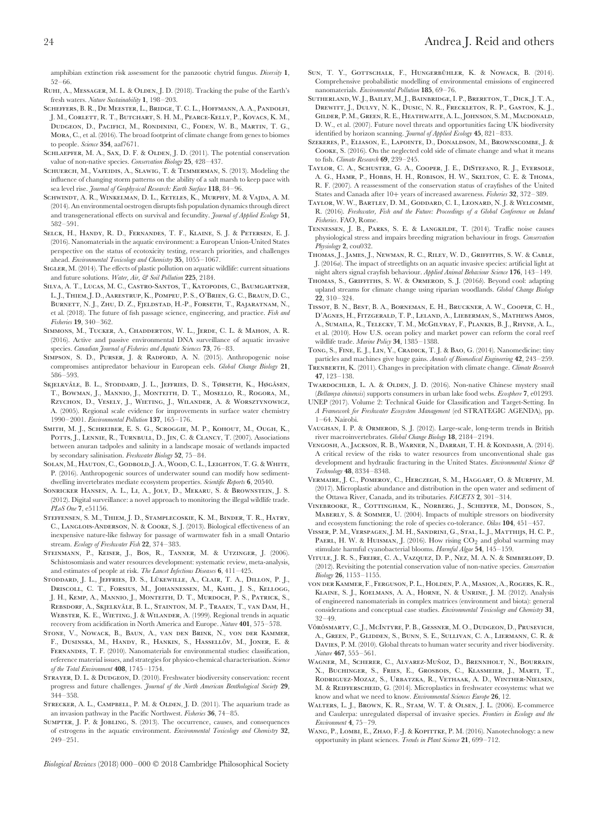- RUHI, A., MESSAGER, M. L. & OLDEN, J. D. (2018). Tracking the pulse of the Earth's fresh waters. *Nature Sustainability* **1**, 198–203.
- Scheffers, B. R., De Meester, L., Bridge, T. C. L., Hoffmann, A. A., Pandolfi, J. M., Corlett, R. T., Butchart, S. H. M., Pearce-Kelly, P., Kovacs, K. M., Dudgeon, D., Pacifici, M., Rondinini, C., Foden, W. B., Martin, T. G., Mora, C., et al. (2016). The broad footprint of climate change from genes to biomes to people. *Science* **354**, aaf7671.
- SCHLAEPFER, M. A., SAX, D. F. & OLDEN, J. D. (2011). The potential conservation value of non-native species. *Conservation Biology* **25**, 428–437.
- SCHUERCH, M., VAFEIDIS, A., SLAWIG, T. & TEMMERMAN, S. (2013). Modeling the influence of changing storm patterns on the ability of a salt marsh to keep pace with sea level rise. *Journal of Geophysical Research: Earth Surface* **118**, 84–96.
- Schwindt, A. R., Winkelman, D. L., Keteles, K., Murphy, M. & Vajda, A. M. (2014). An environmental oestrogen disrupts fish population dynamics through direct and transgenerational effects on survival and fecundity. *Journal of Applied Ecology* **51**, 582–591.
- Selck, H., Handy, R. D., Fernandes, T. F., Klaine, S. J. & Petersen, E. J. (2016). Nanomaterials in the aquatic environment: a European Union-United States perspective on the status of ecotoxicity testing, research priorities, and challenges ahead. *Environmental Toxicology and Chemistry* **35**, 1055–1067.
- SIGLER, M. (2014). The effects of plastic pollution on aquatic wildlife: current situations and future solutions. *Water, Air, & Soil Pollution* **225**, 2184.
- Silva, A. T., Lucas, M. C., Castro-Santos, T., Katopodis, C., Baumgartner, L. J., Thiem, J. D., Aarestrup, K., Pompeu, P. S., O'Brien, G. C., Braun, D. C., Burnett, N. J., Zhu, D. Z., Fjeldstad, H.-P., Forseth, T., Rajaratnam, N., et al. (2018). The future of fish passage science, engineering, and practice. *Fish and Fisheries* **19**, 340–362.
- Simmons, M., Tucker, A., Chadderton, W. L., Jerde, C. L. & Mahon, A. R. (2016). Active and passive environmental DNA surveillance of aquatic invasive species. *Canadian Journal of Fisheries and Aquatic Sciences* **73**, 76–83.
- SIMPSON, S. D., PURSER, J. & RADFORD, A. N. (2015). Anthropogenic noise compromises antipredator behaviour in European eels. *Global Change Biology* **21**, 586–593.
- Skjelkvåle, B. L., Stoddard, J. L., Jeffries, D. S., Tørseth, K., Høgåsen, T., Bowman, J., Mannio, J., Monteith, D. T., Mosello, R., Rogora, M., Rzychon, D., Vesely, J., Wieting, J., Wilander, A. & Worsztynowicz, A. (2005). Regional scale evidence for improvements in surface water chemistry 1990–2001. *Environmental Pollution* **137**, 165–176.
- SMITH, M. J., SCHREIBER, E. S. G., SCROGGIE, M. P., KOHOUT, M., OUGH, K., POTTS, J., LENNIE, R., TURNBULL, D., JIN, C. & CLANCY, T. (2007). Associations between anuran tadpoles and salinity in a landscape mosaic of wetlands impacted by secondary salinisation. *Freshwater Biology* **52**, 75–84.
- SOLAN, M., HAUTON, C., GODBOLD, J. A., WOOD, C. L., LEIGHTON, T. G. & WHITE, P. (2016). Anthropogenic sources of underwater sound can modify how sedimentdwelling invertebrates mediate ecosystem properties. *Scientific Reports* **6**, 20540.
- Sonricker Hansen, A. L., Li, A., Joly, D., Mekaru, S. & Brownstein, J. S. (2012). Digital surveillance: a novel approach to monitoring the illegal wildlife trade. *PLoS One* **7**, e51156.
- Steffensen, S. M., Thiem, J. D., Stamplecoskie, K. M., Binder, T. R., Hatry, C., Langlois-Anderson, N. & Cooke, S. J. (2013). Biological effectiveness of an inexpensive nature-like fishway for passage of warmwater fish in a small Ontario stream. *Ecology of Freshwater Fish* **22**, 374–383.
- STEINMANN, P., KEISER, J., BOS, R., TANNER, M. & UTZINGER, J. (2006). Schistosomiasis and water resources development: systematic review, meta-analysis, and estimates of people at risk. *The Lancet Infectious Diseases* **6**, 411–425.
- STODDARD, J. L., JEFFRIES, D. S., LÜKEWILLE, A., CLAIR, T. A., DILLON, P. J., Driscoll, C. T., Forsius, M., Johannessen, M., Kahl, J. S., Kellogg, J. H., Kemp, A., Mannio, J., Monteith, D. T., Murdoch, P. S., Patrick, S., REBSDORF, A., SKJELKVÅLE, B. L., STAINTON, M. P., TRAAEN, T., VAN DAM, H., Webster, K. E., Wieting, J. & Wilander, A. (1999). Regional trends in aquatic recovery from acidification in North America and Europe. *Nature* **401**, 575–578.
- Stone, V., Nowack, B., Baun, A., van den Brink, N., von der Kammer, F., DUSINSKA, M., HANDY, R., HANKIN, S., HASSELLÖV, M., JONER, E. & Fernandes, T. F. (2010). Nanomaterials for environmental studies: classification, reference material issues, and strategies for physico-chemical characterisation. *Science of the Total Environment* **408**, 1745–1754.
- STRAYER, D. L. & DUDGEON, D. (2010). Freshwater biodiversity conservation: recent progress and future challenges. *Journal of the North American Benthological Society* **29**, 344–358.
- STRECKER, A. L., CAMPBELL, P. M. & OLDEN, J. D. (2011). The aquarium trade as an invasion pathway in the Pacific Northwest. *Fisheries* **36**, 74–85.
- Sumpter, J. P. & Jobling, S. (2013). The occurrence, causes, and consequences of estrogens in the aquatic environment. *Environmental Toxicology and Chemistry* **32**, 249–251.
- SUN, T. Y., GOTTSCHALK, F., HUNGERBÜHLER, K. & NOWACK, B. (2014). Comprehensive probabilistic modelling of environmental emissions of engineered nanomaterials. *Environmental Pollution* **185**, 69–76.
- Sutherland, W. J., Bailey, M. J., Bainbridge, I. P., Brereton, T., Dick, J. T. A., Drewitt, J., Dulvy, N. K., Dusic, N. R., Freckleton, R. P., Gaston, K. J., Gilder, P. M., Green, R. E., Heathwaite, A. L., Johnson, S. M., Macdonald, D. W., et al. (2007). Future novel threats and opportunities facing UK biodiversity identified by horizon scanning. *Journal of Applied Ecology* **45**, 821–833.
- Szekeres, P., Eliason, E., Lapointe, D., Donaldson, M., Brownscombe, J. & Cooke, S. (2016). On the neglected cold side of climate change and what it means to fish. *Climate Research* **69**, 239–245.
- Taylor, C. A., Schuster, G. A., Cooper, J. E., DiStefano, R. J., Eversole, A. G., HAMR, P., HOBBS, H. H., ROBISON, H. W., SKELTON, C. E. & THOMA R. F. (2007). A reassessment of the conservation status of crayfishes of the United States and Canada after 10+ years of increased awareness. *Fisheries* **32**, 372–389.
- Taylor, W. W., Bartley, D. M., Goddard, C. I., Leonard, N. J. & Welcomme, R. (2016). *Freshwater, Fish and the Future: Proceedings of a Global Conference on Inland Fisheries*. FAO, Rome.
- Tennessen, J. B., Parks, S. E. & Langkilde, T. (2014). Traffic noise causes physiological stress and impairs breeding migration behaviour in frogs. *Conservation Physiology* **2**, cou032.
- Thomas, J., James, J., Newman, R. C., Riley, W. D., Griffiths, S. W. & Cable, J. (2016*a*). The impact of streetlights on an aquatic invasive species: artificial light at night alters signal crayfish behaviour. *Applied Animal Behaviour Science* **176**, 143–149.
- THOMAS, S., GRIFFITHS, S. W. & ORMEROD, S. J. (2016b). Beyond cool: adapting upland streams for climate change using riparian woodlands. *Global Change Biology* **22**, 310–324.
- Tissot, B. N., Best, B. A., Borneman, E. H., Bruckner, A. W., Cooper, C. H., D'Agnes, H., Fitzgerald, T. P., Leland, A., Lieberman, S., Mathews Amos, A., Sumaila, R., Telecky, T. M., McGilvray, F., Plankis, B. J., Rhyne, A. L., et al. (2010). How U.S. ocean policy and market power can reform the coral reef wildlife trade. *Marine Policy* **34**, 1385–1388.
- Tong, S., Fine, E. J., Lin, Y., Cradick, T. J. & Bao, G. (2014). Nanomedicine: tiny particles and machines give huge gains. *Annals of Biomedical Engineering* **42**, 243–259.
- Trenberth, K. (2011). Changes in precipitation with climate change. *Climate Research* **47**, 123–138.
- TWARDOCHLEB, L. A. & OLDEN, J. D. (2016). Non-native Chinese mystery snail (*Bellamya chinensis*) supports consumers in urban lake food webs. *Ecosphere* **7**, e01293.
- UNEP (2017). Volume 2: Technical Guide for Classification and Target-Setting. In *A Framework for Freshwater Ecosystem Management* (ed STRATEGIC AGENDA), pp. 1–64. Nairobi.
- VAUGHAN, I. P. & ORMEROD, S. J. (2012). Large-scale, long-term trends in British river macroinvertebrates. *Global Change Biology* **18**, 2184–2194.
- Vengosh, A., Jackson, R. B., Warner, N., Darrah, T. H. & Kondash, A. (2014). A critical review of the risks to water resources from unconventional shale gas development and hydraulic fracturing in the United States. *Environmental Science & Technology* **48**, 8334–8348.
- Vermaire, J. C., Pomeroy, C., Herczegh, S. M., Haggart, O. & Murphy, M. (2017). Microplastic abundance and distribution in the open water and sediment of the Ottawa River, Canada, and its tributaries. *FACETS* **2**, 301–314.
- Vinebrooke, R., Cottingham, K., Norberg, J., Scheffer, M., Dodson, S., Maberly, S. & Sommer, U. (2004). Impacts of multiple stressors on biodiversity and ecosystem functioning: the role of species co-tolerance. *Oikos* **104**, 451–457.
- Visser, P. M., Verspagen, J. M. H., Sandrini, G., Stal, L. J., Matthijs, H. C. P., PAERL, H. W. & HUISMAN, J. (2016). How rising  $CO<sub>2</sub>$  and global warming may stimulate harmful cyanobacterial blooms. *Harmful Algae* **54**, 145–159.
- Vitule, J. R. S., Freire, C. A., Vazquez, D. P., Nez, M. A. N. & Simberloff, D. (2012). Revisiting the potential conservation value of non-native species. *Conservation Biology* **26**, 1153–1155.
- von der Kammer, F., Ferguson, P. L., Holden, P. A., Masion, A., Rogers, K. R., Klaine, S. J., Koelmans, A. A., Horne, N. & Unrine, J. M. (2012). Analysis of engineered nanomaterials in complex matrices (environment and biota): general considerations and conceptual case studies. *Environmental Toxicology and Chemistry* **31**, 32–49.
- VÖRÖSMARTY, C. J., MCINTYRE, P. B., GESSNER, M. O., DUDGEON, D., PRUSEVICH, A., Green, P., Glidden, S., Bunn, S. E., Sullivan, C. A., Liermann, C. R. & DAVIES, P. M. (2010). Global threats to human water security and river biodiversity. *Nature* **467**, 555–561.
- WAGNER, M., SCHERER, C., ALVAREZ-MUÑOZ, D., BRENNHOLT, N., BOURRAIN, X., Buchinger, S., Fries, E., Grosbois, C., Klasmeier, J., Marti, T., Rodriguez-Mozaz, S., Urbatzka, R., Vethaak, A. D., Winther-Nielsen, M. & Reifferscheid, G. (2014). Microplastics in freshwater ecosystems: what we know and what we need to know. *Environmental Sciences Europe* **26**, 12.
- Walters, L. J., Brown, K. R., Stam, W. T. & Olsen, J. L. (2006). E-commerce and Caulerpa: unregulated dispersal of invasive species. *Frontiers in Ecology and the Environment* **4**, 75–79.
- WANG, P., LOMBI, E., ZHAO, F.-J. & KOPITTKE, P. M. (2016). Nanotechnology: a new opportunity in plant sciences. *Trends in Plant Science* **21**, 699–712.